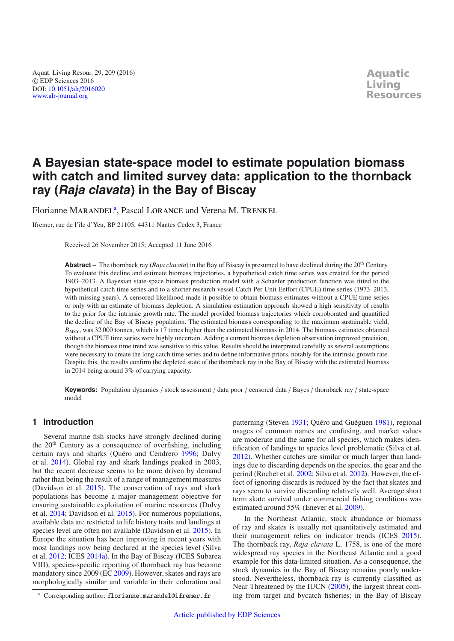Aquat. Living Resour. 29, 209 (2016) © EDP Sciences 2016 DOI: 10.1051/alr/[2016020](http://dx.doi.org/10.1051/alr/2016020) [www.alr-journal.org](http://www.alr-journal.org)

**Aquatic Living Resources**

# **A Bayesian state-space model to estimate population biomass with catch and limited survey data: application to the thornback ray (Raja clavata) in the Bay of Biscay**

Florianne MARANDEL<sup>a</sup>, Pascal LORANCE and Verena M. TRENKEL

Ifremer, rue de l'île d'Yeu, BP 21105, 44311 Nantes Cedex 3, France

Received 26 November 2015; Accepted 11 June 2016

**Abstract –** The thornback ray (*Raja clavata*) in the Bay of Biscay is presumed to have declined during the 20<sup>th</sup> Century. To evaluate this decline and estimate biomass trajectories, a hypothetical catch time series was created for the period 1903–2013. A Bayesian state-space biomass production model with a Schaefer production function was fitted to the hypothetical catch time series and to a shorter research vessel Catch Per Unit Eeffort (CPUE) time series (1973–2013, with missing years). A censored likelihood made it possible to obtain biomass estimates without a CPUE time series or only with an estimate of biomass depletion. A simulation-estimation approach showed a high sensitivity of results to the prior for the intrinsic growth rate. The model provided biomass trajectories which corroborated and quantified the decline of the Bay of Biscay population. The estimated biomass corresponding to the maximum sustainable yield,  $B_{\text{MSY}}$ , was 32 000 tonnes, which is 17 times higher than the estimated biomass in 2014. The biomass estimates obtained without a CPUE time series were highly uncertain. Adding a current biomass depletion observation improved precision, though the biomass time trend was sensitive to this value. Results should be interpreted carefully as several assumptions were necessary to create the long catch time series and to define informative priors, notably for the intrinsic growth rate. Despite this, the results confirm the depleted state of the thornback ray in the Bay of Biscay with the estimated biomass in 2014 being around 3% of carrying capacity.

**Keywords:** Population dynamics / stock assessment / data poor / censored data / Bayes / thornback ray / state-space model

## **1 Introduction**

Several marine fish stocks have strongly declined during the 20<sup>th</sup> Century as a consequence of overfishing, including certain rays and sharks (Quéro and Cendrero [1996;](#page-14-0) Dulvy et al. [2014\)](#page-13-0). Global ray and shark landings peaked in 2003, but the recent decrease seems to be more driven by demand rather than being the result of a range of management measures (Davidson et al. [2015\)](#page-12-0). The conservation of rays and shark populations has become a major management objective for ensuring sustainable exploitation of marine resources (Dulvy et al. [2014;](#page-13-0) Davidson et al. [2015\)](#page-12-0). For numerous populations, available data are restricted to life history traits and landings at species level are often not available (Davidson et al. [2015](#page-12-0)). In Europe the situation has been improving in recent years with most landings now being declared at the species level (Silva et al. [2012](#page-14-1); ICES [2014a\)](#page-13-1). In the Bay of Biscay (ICES Subarea VIII), species-specific reporting of thornback ray has become mandatory since 2009 (EC [2009](#page-13-2)). However, skates and rays are morphologically similar and variable in their coloration and patterning (Steven [1931;](#page-14-2) Quéro and Guéguen [1981\)](#page-14-3), regional usages of common names are confusing, and market values are moderate and the same for all species, which makes identification of landings to species level problematic (Silva et al. [2012\)](#page-14-1). Whether catches are similar or much larger than landings due to discarding depends on the species, the gear and the period (Rochet et al. [2002;](#page-14-4) Silva et al. [2012\)](#page-14-1). However, the effect of ignoring discards is reduced by the fact that skates and rays seem to survive discarding relatively well. Average short term skate survival under commercial fishing conditions was estimated around 55% (Enever et al. [2009\)](#page-13-3).

In the Northeast Atlantic, stock abundance or biomass of ray and skates is usually not quantitatively estimated and their management relies on indicator trends (ICES [2015\)](#page-13-4). The thornback ray, *Raja clavata* L. 1758, is one of the more widespread ray species in the Northeast Atlantic and a good example for this data-limited situation. As a consequence, the stock dynamics in the Bay of Biscay remains poorly understood. Nevertheless, thornback ray is currently classified as Near Threatened by the IUCN [\(2005\)](#page-13-5), the largest threat coming from target and bycatch fisheries; in the Bay of Biscay

<sup>a</sup> Corresponding author: florianne.marandel@ifremer.fr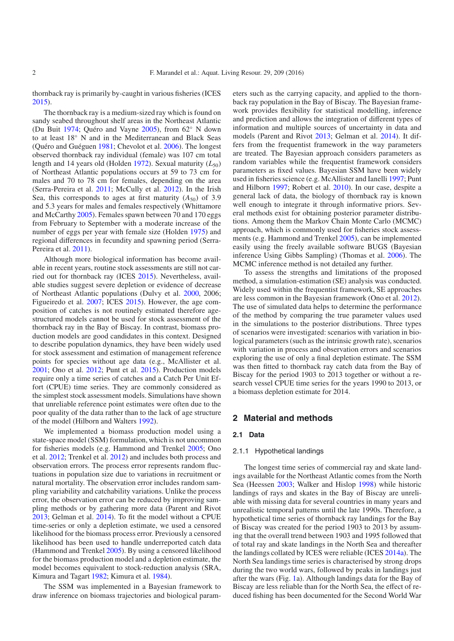thornback ray is primarily by-caught in various fisheries (ICES [2015\)](#page-13-4).

The thornback ray is a medium-sized ray which is found on sandy seabed throughout shelf areas in the Northeast Atlantic (Du Buit [1974](#page-12-1); Quéro and Vayne [2005\)](#page-14-5), from 62◦ N down to at least 18◦ N and in the Mediterranean and Black Seas (Quéro and Guéguen [1981;](#page-14-3) Chevolot et al. [2006\)](#page-12-2). The longest observed thornback ray individual (female) was 107 cm total length and 14 years old (Holden [1972](#page-13-6)). Sexual maturity  $(L_{50})$ of Northeast Atlantic populations occurs at 59 to 73 cm for males and 70 to 78 cm for females, depending on the area (Serra-Pereira et al. [2011;](#page-14-6) McCully et al. [2012\)](#page-13-7). In the Irish Sea, this corresponds to ages at first maturity  $(A_{50})$  of 3.9 and 5.3 years for males and females respectively (Whittamore and McCarthy [2005](#page-14-7)). Females spawn between 70 and 170 eggs from February to September with a moderate increase of the number of eggs per year with female size (Holden [1975](#page-13-8)) and regional differences in fecundity and spawning period (Serra-Pereira et al. [2011\)](#page-14-6).

Although more biological information has become available in recent years, routine stock assessments are still not carried out for thornback ray (ICES [2015](#page-13-4)). Nevertheless, available studies suggest severe depletion or evidence of decrease of Northeast Atlantic populations (Dulvy et al. [2000,](#page-12-3) 2006; Figueiredo et al. [2007;](#page-13-9) ICES [2015](#page-13-4)). However, the age composition of catches is not routinely estimated therefore agestructured models cannot be used for stock assessment of the thornback ray in the Bay of Biscay. In contrast, biomass production models are good candidates in this context. Designed to describe population dynamics, they have been widely used for stock assessment and estimation of management reference points for species without age data (e.g., McAllister et al. [2001;](#page-13-10) Ono et al. [2012;](#page-13-11) Punt et al. [2015\)](#page-14-8). Production models require only a time series of catches and a Catch Per Unit Effort (CPUE) time series. They are commonly considered as the simplest stock assessment models. Simulations have shown that unreliable reference point estimates were often due to the poor quality of the data rather than to the lack of age structure of the model (Hilborn and Walters [1992\)](#page-13-12).

We implemented a biomass production model using a state-space model (SSM) formulation, which is not uncommon for fisheries models (e.g. Hammond and Trenkel [2005;](#page-13-13) Ono et al. [2012;](#page-13-11) Trenkel et al. [2012\)](#page-14-9) and includes both process and observation errors. The process error represents random fluctuations in population size due to variations in recruitment or natural mortality. The observation error includes random sampling variability and catchability variations. Unlike the process error, the observation error can be reduced by improving sampling methods or by gathering more data (Parent and Rivot [2013;](#page-13-14) Gelman et al. [2014](#page-13-15)). To fit the model without a CPUE time-series or only a depletion estimate, we used a censored likelihood for the biomass process error. Previously a censored likelihood has been used to handle underreported catch data (Hammond and Trenkel [2005\)](#page-13-13). By using a censored likelihood for the biomass production model and a depletion estimate, the model becomes equivalent to stock-reduction analysis (SRA, Kimura and Tagart [1982;](#page-13-16) Kimura et al. [1984\)](#page-13-17).

The SSM was implemented in a Bayesian framework to draw inference on biomass trajectories and biological parameters such as the carrying capacity, and applied to the thornback ray population in the Bay of Biscay. The Bayesian framework provides flexibility for statistical modelling, inference and prediction and allows the integration of different types of information and multiple sources of uncertainty in data and models (Parent and Rivot [2013;](#page-13-14) Gelman et al. [2014](#page-13-15)). It differs from the frequentist framework in the way parameters are treated. The Bayesian approach considers parameters as random variables while the frequentist framework considers parameters as fixed values. Bayesian SSM have been widely used in fisheries science (e.g. McAllister and Ianelli [1997;](#page-13-18) Punt and Hilborn [1997](#page-14-10); Robert et al. [2010\)](#page-14-11). In our case, despite a general lack of data, the biology of thornback ray is known well enough to integrate it through informative priors. Several methods exist for obtaining posterior parameter distributions. Among them the Markov Chain Monte Carlo (MCMC) approach, which is commonly used for fisheries stock assessments (e.g. Hammond and Trenkel [2005\)](#page-13-13), can be implemented easily using the freely available software BUGS (Bayesian inference Using Gibbs Sampling) (Thomas et al. [2006\)](#page-14-12). The MCMC inference method is not detailed any further.

To assess the strengths and limitations of the proposed method, a simulation-estimation (SE) analysis was conducted. Widely used within the frequentist framework, SE approaches are less common in the Bayesian framework (Ono et al. [2012\)](#page-13-11). The use of simulated data helps to determine the performance of the method by comparing the true parameter values used in the simulations to the posterior distributions. Three types of scenarios were investigated: scenarios with variation in biological parameters (such as the intrinsic growth rate), scenarios with variation in process and observation errors and scenarios exploring the use of only a final depletion estimate. The SSM was then fitted to thornback ray catch data from the Bay of Biscay for the period 1903 to 2013 together or without a research vessel CPUE time series for the years 1990 to 2013, or a biomass depletion estimate for 2014.

## **2 Material and methods**

## **2.1 Data**

#### 2.1.1 Hypothetical landings

The longest time series of commercial ray and skate landings available for the Northeast Atlantic comes from the North Sea (Heessen [2003;](#page-13-19) Walker and Hislop [1998](#page-14-13)) while historic landings of rays and skates in the Bay of Biscay are unreliable with missing data for several countries in many years and unrealistic temporal patterns until the late 1990s. Therefore, a hypothetical time series of thornback ray landings for the Bay of Biscay was created for the period 1903 to 2013 by assuming that the overall trend between 1903 and 1995 followed that of total ray and skate landings in the North Sea and thereafter the landings collated by ICES were reliable (ICES [2014a\)](#page-13-1). The North Sea landings time series is characterised by strong drops during the two world wars, followed by peaks in landings just after the wars (Fig. [1a](#page-2-0)). Although landings data for the Bay of Biscay are less reliable than for the North Sea, the effect of reduced fishing has been documented for the Second World War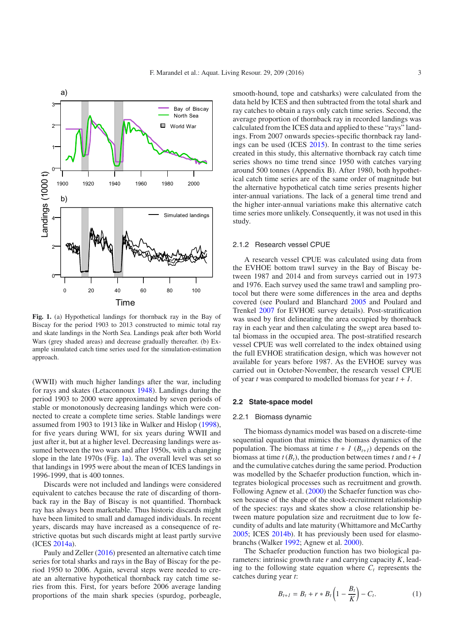

<span id="page-2-0"></span>**Fig. 1.** (a) Hypothetical landings for thornback ray in the Bay of Biscay for the period 1903 to 2013 constructed to mimic total ray and skate landings in the North Sea. Landings peak after both World Wars (grey shaded areas) and decrease gradually thereafter. (b) Example simulated catch time series used for the simulation-estimation approach.

(WWII) with much higher landings after the war, including for rays and skates (Letaconnoux [1948\)](#page-13-20). Landings during the period 1903 to 2000 were approximated by seven periods of stable or monotonously decreasing landings which were connected to create a complete time series. Stable landings were assumed from 1903 to 1913 like in Walker and Hislop [\(1998](#page-14-13)), for five years during WWI, for six years during WWII and just after it, but at a higher level. Decreasing landings were assumed between the two wars and after 1950s, with a changing slope in the late 1970s (Fig. [1a](#page-2-0)). The overall level was set so that landings in 1995 were about the mean of ICES landings in 1996-1999, that is 400 tonnes.

Discards were not included and landings were considered equivalent to catches because the rate of discarding of thornback ray in the Bay of Biscay is not quantified. Thornback ray has always been marketable. Thus historic discards might have been limited to small and damaged individuals. In recent years, discards may have increased as a consequence of restrictive quotas but such discards might at least partly survive (ICES [2014a\)](#page-13-1).

Pauly and Zeller [\(2016\)](#page-13-21) presented an alternative catch time series for total sharks and rays in the Bay of Biscay for the period 1950 to 2006. Again, several steps were needed to create an alternative hypothetical thornback ray catch time series from this. First, for years before 2006 average landing proportions of the main shark species (spurdog, porbeagle,

smooth-hound, tope and catsharks) were calculated from the data held by ICES and then subtracted from the total shark and ray catches to obtain a rays only catch time series. Second, the average proportion of thornback ray in recorded landings was calculated from the ICES data and applied to these "rays" landings. From 2007 onwards species-specific thornback ray landings can be used (ICES [2015\)](#page-13-4). In contrast to the time series created in this study, this alternative thornback ray catch time series shows no time trend since 1950 with catches varying around 500 tonnes (Appendix B). After 1980, both hypothetical catch time series are of the same order of magnitude but the alternative hypothetical catch time series presents higher inter-annual variations. The lack of a general time trend and the higher inter-annual variations make this alternative catch time series more unlikely. Consequently, it was not used in this study.

#### 2.1.2 Research vessel CPUE

A research vessel CPUE was calculated using data from the EVHOE bottom trawl survey in the Bay of Biscay between 1987 and 2014 and from surveys carried out in 1973 and 1976. Each survey used the same trawl and sampling protocol but there were some differences in the area and depths covered (see Poulard and Blanchard [2005](#page-14-14) and Poulard and Trenkel [2007](#page-14-15) for EVHOE survey details). Post-stratification was used by first delineating the area occupied by thornback ray in each year and then calculating the swept area based total biomass in the occupied area. The post-stratified research vessel CPUE was well correlated to the index obtained using the full EVHOE stratification design, which was however not available for years before 1987. As the EVHOE survey was carried out in October-November, the research vessel CPUE of year *t* was compared to modelled biomass for year *t* + *1*.

#### **2.2 State-space model**

#### 2.2.1 Biomass dynamic

The biomass dynamics model was based on a discrete-time sequential equation that mimics the biomass dynamics of the population. The biomass at time  $t + 1$  ( $B_{t+1}$ ) depends on the biomass at time  $t(B_t)$ , the production between times  $t$  and  $t + I$ and the cumulative catches during the same period. Production was modelled by the Schaefer production function, which integrates biological processes such as recruitment and growth. Following Agnew et al. [\(2000](#page-12-4)) the Schaefer function was chosen because of the shape of the stock-recruitment relationship of the species: rays and skates show a close relationship between mature population size and recruitment due to low fecundity of adults and late maturity (Whittamore and McCarthy [2005;](#page-14-7) ICES [2014b\)](#page-13-22). It has previously been used for elasmobranchs (Walker [1992](#page-14-16); Agnew et al. [2000](#page-12-4)).

The Schaefer production function has two biological parameters: intrinsic growth rate *r* and carrying capacity *K*, leading to the following state equation where  $C_t$  represents the catches during year *t*:

$$
B_{t+1} = B_t + r * B_t \left( 1 - \frac{B_t}{K} \right) - C_t.
$$
 (1)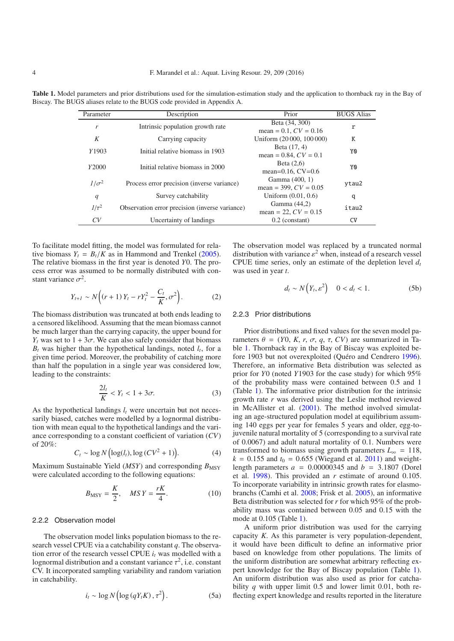| Parameter    | Description                                    | Prior                                      | <b>BUGS</b> Alias |
|--------------|------------------------------------------------|--------------------------------------------|-------------------|
| r            | Intrinsic population growth rate               | Beta (34, 300)<br>mean = 0.1, $CV = 0.16$  | r                 |
| K            | Carrying capacity                              | Uniform (20 000, 100 000)                  | K                 |
| Y1903        | Initial relative biomass in 1903               | Beta (17, 4)<br>mean = $0.84$ , $CV = 0.1$ | Y0                |
| Y2000        | Initial relative biomass in 2000               | Beta $(2,6)$<br>mean= $0.16$ , CV= $0.6$   | Y0                |
| $1/\sigma^2$ | Process error precision (inverse variance)     | Gamma (400, 1)<br>mean = 399, $CV = 0.05$  | ytau2             |
| q            | Survey catchability                            | Uniform $(0.01, 0.6)$                      | q                 |
| $1/\tau^2$   | Observation error precision (inverse variance) | Gamma (44,2)<br>mean = 22, $CV = 0.15$     | itau2             |
| CV           | Uncertainty of landings                        | $0.2$ (constant)                           | <b>CV</b>         |

<span id="page-3-0"></span>**Table 1.** Model parameters and prior distributions used for the simulation-estimation study and the application to thornback ray in the Bay of Biscay. The BUGS aliases relate to the BUGS code provided in Appendix A.

To facilitate model fitting, the model was formulated for relative biomass  $Y_t = B_t/K$  as in Hammond and Trenkel [\(2005](#page-13-13)). The relative biomass in the first year is denoted *Y*0. The process error was assumed to be normally distributed with constant variance  $\sigma^2$ .

$$
Y_{t+1} \sim N\Big((r+1)\,Y_t - rY_t^2 - \frac{C_t}{K}, \sigma^2\Big). \tag{2}
$$

The biomass distribution was truncated at both ends leading to a censored likelihood. Assuming that the mean biomass cannot be much larger than the carrying capacity, the upper bound for  $Y_t$  was set to  $1 + 3\sigma$ . We can also safely consider that biomass  $B_t$  was higher than the hypothetical landings, noted  $l_t$ , for a given time period. Moreover, the probability of catching more than half the population in a single year was considered low, leading to the constraints:

$$
\frac{2l_t}{K} < Y_t < 1 + 3\sigma. \tag{3}
$$

As the hypothetical landings  $l_t$  were uncertain but not necessarily biased, catches were modelled by a lognormal distribution with mean equal to the hypothetical landings and the variance corresponding to a constant coefficient of variation (*CV*) of 20%:

$$
C_t \sim \log N \left( \log(l_t), \log (CV^2 + 1) \right). \tag{4}
$$

Maximum Sustainable Yield (*MSY*) and corresponding  $B_{\text{MSY}}$ were calculated according to the following equations:

$$
B_{\text{MSY}} = \frac{K}{2}, \quad MS\,Y = \frac{rK}{4}.\tag{10}
$$

#### 2.2.2 Observation model

The observation model links population biomass to the research vessel CPUE via a catchability constant *q*. The observation error of the research vessel CPUE  $i_t$  was modelled with a lognormal distribution and a constant variance  $\tau^2$ , i.e. constant CV. It incorporated sampling variability and random variation in catchability.

$$
i_t \sim \log N\left(\log\left(qY_t K\right), \tau^2\right). \tag{5a}
$$

The observation model was replaced by a truncated normal distribution with variance  $\varepsilon^2$  when, instead of a research vessel CPUE time series, only an estimate of the depletion level  $d_t$ was used in year *t*.

$$
d_t \sim N\left(Y_t, \varepsilon^2\right) \quad 0 < d_t < 1. \tag{5b}
$$

#### 2.2.3 Prior distributions

Prior distributions and fixed values for the seven model parameters θ = (*Y*0, *K*, *r*, σ, *q*, τ, *CV*) are summarized in Table [1.](#page-3-0) Thornback ray in the Bay of Biscay was exploited before 1903 but not overexploited (Quéro and Cendrero [1996\)](#page-14-0). Therefore, an informative Beta distribution was selected as prior for *Y*0 (noted *Y*1903 for the case study) for which 95% of the probability mass were contained between 0.5 and 1 (Table [1\)](#page-3-0). The informative prior distribution for the intrinsic growth rate *r* was derived using the Leslie method reviewed in McAllister et al. [\(2001\)](#page-13-10). The method involved simulating an age-structured population model at equilibrium assuming 140 eggs per year for females 5 years and older, egg-tojuvenile natural mortality of 5 (corresponding to a survival rate of 0.0067) and adult natural mortality of 0.1. Numbers were transformed to biomass using growth parameters  $L_{\infty} = 118$ ,  $k = 0.155$  and  $t_0 = 0.655$  (Wiegand et al. [2011\)](#page-14-17) and weightlength parameters  $a = 0.00000345$  and  $b = 3.1807$  (Dorel et al. [1998](#page-12-5)). This provided an *r* estimate of around 0.105. To incorporate variability in intrinsic growth rates for elasmobranchs (Camhi et al. [2008;](#page-12-6) Frisk et al. [2005\)](#page-13-23), an informative Beta distribution was selected for *r* for which 95% of the probability mass was contained between 0.05 and 0.15 with the mode at 0.105 (Table [1\)](#page-3-0).

A uniform prior distribution was used for the carrying capacity *K*. As this parameter is very population-dependent, it would have been difficult to define an informative prior based on knowledge from other populations. The limits of the uniform distribution are somewhat arbitrary reflecting expert knowledge for the Bay of Biscay population (Table [1\)](#page-3-0). An uniform distribution was also used as prior for catchability *q* with upper limit 0.5 and lower limit 0.01, both reflecting expert knowledge and results reported in the literature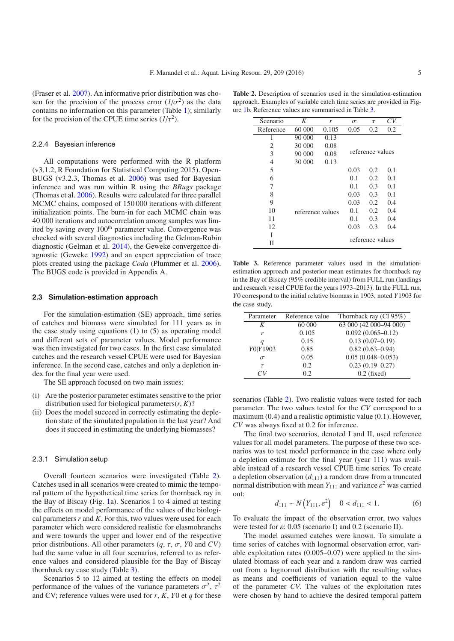(Fraser et al. [2007\)](#page-13-24). An informative prior distribution was chosen for the precision of the process error  $(1/\sigma^2)$  as the data contains no information on this parameter (Table [1\)](#page-3-0); similarly for the precision of the CPUE time series  $(1/\tau^2)$ .

#### 2.2.4 Bayesian inference

All computations were performed with the R platform (v3.1.2, R Foundation for Statistical Computing 2015). Open-BUGS (v3.2.3, Thomas et al. [2006\)](#page-14-12) was used for Bayesian inference and was run within R using the *BRugs* package (Thomas et al. [2006\)](#page-14-12). Results were calculated for three parallel MCMC chains, composed of 150 000 iterations with different initialization points. The burn-in for each MCMC chain was 40 000 iterations and autocorrelation among samples was limited by saving every 100<sup>th</sup> parameter value. Convergence was checked with several diagnostics including the Gelman-Rubin diagnostic (Gelman et al. [2014](#page-13-15)), the Geweke convergence diagnostic (Geweke [1992\)](#page-13-25) and an expert appreciation of trace plots created using the package *Coda* (Plummer et al. [2006](#page-14-18)). The BUGS code is provided in Appendix A.

#### **2.3 Simulation-estimation approach**

For the simulation-estimation (SE) approach, time series of catches and biomass were simulated for 111 years as in the case study using equations (1) to (5) as operating model and different sets of parameter values. Model performance was then investigated for two cases. In the first case simulated catches and the research vessel CPUE were used for Bayesian inference. In the second case, catches and only a depletion index for the final year were used.

The SE approach focused on two main issues:

- (i) Are the posterior parameter estimates sensitive to the prior distribution used for biological parameters $(r, K)$ ?
- (ii) Does the model succeed in correctly estimating the depletion state of the simulated population in the last year? And does it succeed in estimating the underlying biomasses?

#### 2.3.1 Simulation setup

Overall fourteen scenarios were investigated (Table [2\)](#page-4-0). Catches used in all scenarios were created to mimic the temporal pattern of the hypothetical time series for thornback ray in the Bay of Biscay (Fig. [1a](#page-2-0)). Scenarios 1 to 4 aimed at testing the effects on model performance of the values of the biological parameters*r* and *K*. For this, two values were used for each parameter which were considered realistic for elasmobranchs and were towards the upper and lower end of the respective prior distributions. All other parameters (*q*, τ, σ, *Y*0 and *CV*) had the same value in all four scenarios, referred to as reference values and considered plausible for the Bay of Biscay thornback ray case study (Table [3\)](#page-4-1).

Scenarios 5 to 12 aimed at testing the effects on model performance of the values of the variance parameters  $\sigma^2$ ,  $\tau^2$ and CV; reference values were used for *r*, *K*, *Y*0 et *q* for these

<span id="page-4-0"></span>**Table 2.** Description of scenarios used in the simulation-estimation approach. Examples of variable catch time series are provided in Figure [1b](#page-2-0). Reference values are summarised in Table [3.](#page-4-1)

<span id="page-4-1"></span>

|                | K                |       |          |                  | CV  |
|----------------|------------------|-------|----------|------------------|-----|
| Scenario       |                  | r     | $\sigma$ | $\tau$           |     |
| Reference      | 60 000           | 0.105 | 0.05     | 0.2              | 0.2 |
| 1              | 90 000           | 0.13  |          |                  |     |
| 2              | 30 000           | 0.08  |          |                  |     |
| 3              | 90 000           | 0.08  |          | reference values |     |
| $\overline{4}$ | 30 000           | 0.13  |          |                  |     |
| 5              |                  |       | 0.03     | 0.2              | 0.1 |
| 6              |                  |       | 0.1      | 0.2              | 0.1 |
| 7              |                  |       | 0.1      | 0.3              | 0.1 |
| 8              |                  |       | 0.03     | 0.3              | 0.1 |
| 9              |                  |       | 0.03     | 0.2              | 0.4 |
| 10             | reference values |       | 0.1      | 0.2              | 0.4 |
| 11             |                  |       | 0.1      | 0.3              | 0.4 |
| 12             |                  |       | 0.03     | 0.3              | 0.4 |
| T              |                  |       |          |                  |     |
| Н              |                  |       |          | reference values |     |

Table 3. Reference parameter values used in the simulationestimation approach and posterior mean estimates for thornback ray in the Bay of Biscay (95% credible interval) from FULL run (landings and research vessel CPUE for the years 1973–2013). In the FULL run, *Y*0 correspond to the initial relative biomass in 1903, noted *Y*1903 for the case study.

| Parameter | Reference value | Thornback ray (CI $95\%$ ) |
|-----------|-----------------|----------------------------|
| K         | 60 000          | 63 000 (42 000-94 000)     |
| r         | 0.105           | $0.092(0.065 - 0.12)$      |
| q         | 0.15            | $0.13(0.07-0.19)$          |
| Y0 Y1903  | 0.85            | $0.82(0.63 - 0.94)$        |
| $\sigma$  | 0.05            | $0.05(0.048 - 0.053)$      |
| $\tau$    | 0.2             | $0.23(0.19 - 0.27)$        |
|           | 0.2             | $0.2$ (fixed)              |

scenarios (Table [2\)](#page-4-0). Two realistic values were tested for each parameter. The two values tested for the *CV* correspond to a maximum (0.4) and a realistic optimistic value (0.1). However, *CV* was always fixed at 0.2 for inference.

The final two scenarios, denoted I and II, used reference values for all model parameters. The purpose of these two scenarios was to test model performance in the case where only a depletion estimate for the final year (year 111) was available instead of a research vessel CPUE time series. To create a depletion observation  $(d_{111})$  a random draw from a truncated normal distribution with mean  $Y_{111}$  and variance  $\varepsilon^2$  was carried out:

$$
d_{111} \sim N(Y_{111}, \varepsilon^2) \quad 0 < d_{111} < 1. \tag{6}
$$

To evaluate the impact of the observation error, two values were tested for  $\varepsilon$ : 0.05 (scenario I) and 0.2 (scenario II).

The model assumed catches were known. To simulate a time series of catches with lognormal observation error, variable exploitation rates (0.005–0.07) were applied to the simulated biomass of each year and a random draw was carried out from a lognormal distribution with the resulting values as means and coefficients of variation equal to the value of the parameter *CV*. The values of the exploitation rates were chosen by hand to achieve the desired temporal pattern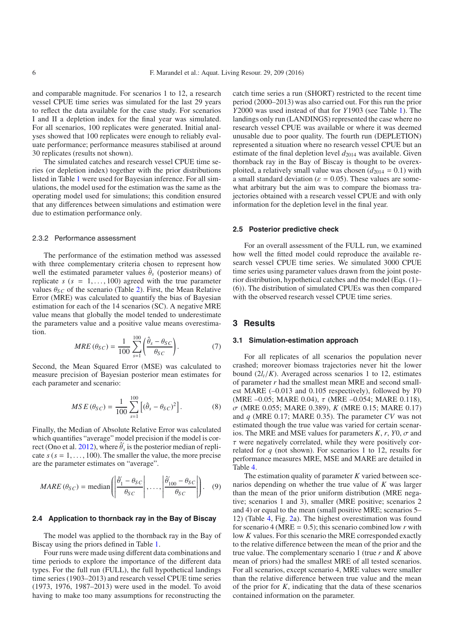and comparable magnitude. For scenarios 1 to 12, a research vessel CPUE time series was simulated for the last 29 years to reflect the data available for the case study. For scenarios I and II a depletion index for the final year was simulated. For all scenarios, 100 replicates were generated. Initial analyses showed that 100 replicates were enough to reliably evaluate performance; performance measures stabilised at around 30 replicates (results not shown).

The simulated catches and research vessel CPUE time series (or depletion index) together with the prior distributions listed in Table [1](#page-3-0) were used for Bayesian inference. For all simulations, the model used for the estimation was the same as the operating model used for simulations; this condition ensured that any differences between simulations and estimation were due to estimation performance only.

#### 2.3.2 Performance assessment

The performance of the estimation method was assessed with three complementary criteria chosen to represent how well the estimated parameter values  $\hat{\theta}_s$  (posterior means) of replicate  $s$  ( $s = 1, \ldots, 100$ ) agreed with the true parameter values  $\theta_{SC}$  of the scenario (Table [2\)](#page-4-0). First, the Mean Relative Error (MRE) was calculated to quantify the bias of Bayesian estimation for each of the 14 scenarios (SC). A negative MRE value means that globally the model tended to underestimate the parameters value and a positive value means overestimation.

$$
MRE\left(\theta_{SC}\right) = \frac{1}{100} \sum_{s=1}^{100} \left(\frac{\hat{\theta}_s - \theta_{SC}}{\theta_{SC}}\right). \tag{7}
$$

Second, the Mean Squared Error (MSE) was calculated to measure precision of Bayesian posterior mean estimates for each parameter and scenario:

$$
MSE(\theta_{SC}) = \frac{1}{100} \sum_{s=1}^{100} [(\hat{\theta}_s - \theta_{SC})^2].
$$
 (8)

Finally, the Median of Absolute Relative Error was calculated which quantifies "average" model precision if the model is cor-rect (Ono et al. [2012\)](#page-13-11), where  $\hat{\theta}'_s$  is the posterior median of replicate  $s$  ( $s = 1, \ldots, 100$ ). The smaller the value, the more precise are the parameter estimates on "average".

$$
MARE (\theta_{SC}) = median \left( \left| \frac{\hat{\theta}_1 - \theta_{SC}}{\theta_{SC}} \right|, \dots, \left| \frac{\hat{\theta}_{100} - \theta_{SC}}{\theta_{SC}} \right| \right). \quad (9)
$$

#### **2.4 Application to thornback ray in the Bay of Biscay**

The model was applied to the thornback ray in the Bay of Biscay using the priors defined in Table [1.](#page-3-0)

Four runs were made using different data combinations and time periods to explore the importance of the different data types. For the full run (FULL), the full hypothetical landings time series (1903–2013) and research vessel CPUE time series (1973, 1976, 1987–2013) were used in the model. To avoid having to make too many assumptions for reconstructing the

catch time series a run (SHORT) restricted to the recent time period (2000–2013) was also carried out. For this run the prior *Y*2000 was used instead of that for *Y*1903 (see Table [1\)](#page-3-0). The landings only run (LANDINGS) represented the case where no research vessel CPUE was available or where it was deemed unusable due to poor quality. The fourth run (DEPLETION) represented a situation where no research vessel CPUE but an estimate of the final depletion level  $d_{2014}$  was available. Given thornback ray in the Bay of Biscay is thought to be overexploited, a relatively small value was chosen  $(d_{2014} = 0.1)$  with a small standard deviation ( $\varepsilon = 0.05$ ). These values are somewhat arbitrary but the aim was to compare the biomass trajectories obtained with a research vessel CPUE and with only information for the depletion level in the final year.

#### **2.5 Posterior predictive check**

For an overall assessment of the FULL run, we examined how well the fitted model could reproduce the available research vessel CPUE time series. We simulated 3000 CPUE time series using parameter values drawn from the joint posterior distribution, hypothetical catches and the model (Eqs. (1)– (6)). The distribution of simulated CPUEs was then compared with the observed research vessel CPUE time series.

## **3 Results**

#### **3.1 Simulation-estimation approach**

For all replicates of all scenarios the population never crashed; moreover biomass trajectories never hit the lower bound  $(2l_t/K)$ . Averaged across scenarios 1 to 12, estimates of parameter *r* had the smallest mean MRE and second smallest MARE (–0.013 and 0.105 respectively), followed by *Y*0 (MRE  $-0.05$ ; MARE 0.04),  $\tau$  (MRE  $-0.054$ ; MARE 0.118), σ (MRE 0.055; MARE 0.389), *K* (MRE 0.15; MARE 0.17) and *q* (MRE 0.17; MARE 0.35). The parameter *CV* was not estimated though the true value was varied for certain scenarios. The MRE and MSE values for parameters  $K$ ,  $r$ ,  $Y0$ ,  $\sigma$  and  $\tau$  were negatively correlated, while they were positively correlated for *q* (not shown). For scenarios 1 to 12, results for performance measures MRE, MSE and MARE are detailed in Table [4.](#page-6-0)

The estimation quality of parameter *K* varied between scenarios depending on whether the true value of *K* was larger than the mean of the prior uniform distribution (MRE negative; scenarios 1 and 3), smaller (MRE positive; scenarios 2 and 4) or equal to the mean (small positive MRE; scenarios 5– 12) (Table [4,](#page-6-0) Fig. [2a](#page-7-0)). The highest overestimation was found for scenario 4 (MRE =  $0.5$ ); this scenario combined low *r* with low *K* values. For this scenario the MRE corresponded exactly to the relative difference between the mean of the prior and the true value. The complementary scenario 1 (true *r* and *K* above mean of priors) had the smallest MRE of all tested scenarios. For all scenarios, except scenario 4, MRE values were smaller than the relative difference between true value and the mean of the prior for *K*, indicating that the data of these scenarios contained information on the parameter.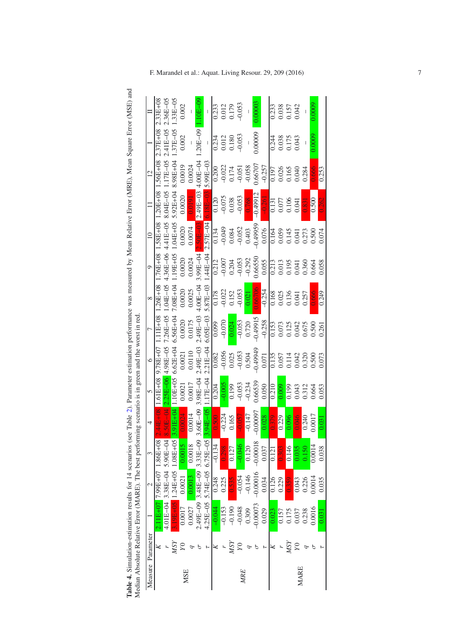Table 4. Simulation-estimation results for 14 scenarios (see Table 2). Parameter estimation performance was measured by Mean Relative Error (MRE), Mean Square Error (MSE) and<br>Median Absolute Relative Error (MARE). The best **Table 4.** Simulation-estimation results for 14 scenarios (see Table [2\)](#page-4-0). Parameter estimation performance was measured by Mean Relative Error (MRE), Mean Square Error (MSE) and Median Absolute Relative Error (MARE). The best performing scenario is in green and the worst in red.

<span id="page-6-0"></span>

|            |                   | $\frac{1}{2}$ . The contract of the contract of the contract of the contract of the contract of the contract of $\frac{1}{2}$ . The contract of the contract of the contract of the contract of the contract of the contract of the c |                            |            |                           |                                                                                                                     |                                                                                                                                                                                                                                                                                                 |                                                                                                                                                                                                                                                                               |                                                                                                                                                                                                                                                                                                                             |                                                                                                                                                                                                                                                                                                                    |                                |                                                                                   |                                                                                                                                                                                                                                                                                                   |                                                  |                                                                    |
|------------|-------------------|---------------------------------------------------------------------------------------------------------------------------------------------------------------------------------------------------------------------------------------|----------------------------|------------|---------------------------|---------------------------------------------------------------------------------------------------------------------|-------------------------------------------------------------------------------------------------------------------------------------------------------------------------------------------------------------------------------------------------------------------------------------------------|-------------------------------------------------------------------------------------------------------------------------------------------------------------------------------------------------------------------------------------------------------------------------------|-----------------------------------------------------------------------------------------------------------------------------------------------------------------------------------------------------------------------------------------------------------------------------------------------------------------------------|--------------------------------------------------------------------------------------------------------------------------------------------------------------------------------------------------------------------------------------------------------------------------------------------------------------------|--------------------------------|-----------------------------------------------------------------------------------|---------------------------------------------------------------------------------------------------------------------------------------------------------------------------------------------------------------------------------------------------------------------------------------------------|--------------------------------------------------|--------------------------------------------------------------------|
|            | Measure Parameter |                                                                                                                                                                                                                                       | $\mathcal{C}$              | 3          | $\overline{4}$            | $\overline{5}$                                                                                                      | $\circ$                                                                                                                                                                                                                                                                                         |                                                                                                                                                                                                                                                                               | $\infty$                                                                                                                                                                                                                                                                                                                    | $\circ$                                                                                                                                                                                                                                                                                                            | $\approx$                      |                                                                                   | $\overline{c}$                                                                                                                                                                                                                                                                                    |                                                  |                                                                    |
|            |                   |                                                                                                                                                                                                                                       | $17.99E + 07$              | 1.86E+08   |                           | $1.61E + 08$                                                                                                        | 0+38L6                                                                                                                                                                                                                                                                                          | $\frac{1}{111E+08}$                                                                                                                                                                                                                                                           | $.26E + 08$                                                                                                                                                                                                                                                                                                                 | $1.76E + 08$                                                                                                                                                                                                                                                                                                       | 1.58E+08                       | $.20E + 08$                                                                       | 1.56E+08                                                                                                                                                                                                                                                                                          | $2.37E + 08$                                     | $2.33E + 08$                                                       |
|            |                   | 4.01E-04                                                                                                                                                                                                                              | $3.38E - 04$ 5.90 $E - 04$ |            |                           | $2.25E - 06$                                                                                                        | 4.98E-05                                                                                                                                                                                                                                                                                        |                                                                                                                                                                                                                                                                               | $1.04E - 05$                                                                                                                                                                                                                                                                                                                | $4.36E - 06$                                                                                                                                                                                                                                                                                                       | 4.41E-05                       | 8.04E-05                                                                          |                                                                                                                                                                                                                                                                                                   | $2.41E - 05$                                     | $2.36E - 05$                                                       |
|            | <b>NSY</b>        |                                                                                                                                                                                                                                       | 3.19E+05 1.24E+05 1.08E+05 |            |                           | $.10E + 05$                                                                                                         |                                                                                                                                                                                                                                                                                                 | $7.26E-05$<br>6.56E+04                                                                                                                                                                                                                                                        |                                                                                                                                                                                                                                                                                                                             |                                                                                                                                                                                                                                                                                                                    |                                | $5.92E+04$                                                                        | 1.17E-05<br>8.98E+04                                                                                                                                                                                                                                                                              | $1.37E - 05$                                     | $1.33E - 05$                                                       |
| <b>MSE</b> |                   | 0.0017                                                                                                                                                                                                                                | 0.0021                     | 0.0015     | 0.0024                    | 0.0021                                                                                                              | $6.62E+04$<br>$0.0021$<br>$0.0110$                                                                                                                                                                                                                                                              | 0.0020<br>0.0175                                                                                                                                                                                                                                                              |                                                                                                                                                                                                                                                                                                                             |                                                                                                                                                                                                                                                                                                                    |                                | 0.0020                                                                            | 0.0019                                                                                                                                                                                                                                                                                            |                                                  | 0.002                                                              |
|            |                   | 0.0027                                                                                                                                                                                                                                | 0.0013                     | 0.0018     | 0.0014                    | 0.0017                                                                                                              |                                                                                                                                                                                                                                                                                                 |                                                                                                                                                                                                                                                                               | $7.08E + 04$<br>0.0020<br>0.0025                                                                                                                                                                                                                                                                                            |                                                                                                                                                                                                                                                                                                                    | $1.04E+05$<br>0.0020<br>0.0074 | 0.0191                                                                            | 0.0024                                                                                                                                                                                                                                                                                            |                                                  |                                                                    |
|            |                   | 2.49E-09                                                                                                                                                                                                                              | $3.48E - 09$ 3.33E - 09    |            |                           |                                                                                                                     | 2.49E-03<br>2.21E-04                                                                                                                                                                                                                                                                            |                                                                                                                                                                                                                                                                               |                                                                                                                                                                                                                                                                                                                             |                                                                                                                                                                                                                                                                                                                    | $2.50E - 03$                   | 2.49E-03                                                                          |                                                                                                                                                                                                                                                                                                   | $.20E - 09$                                      | $1.10E-09$                                                         |
|            |                   | $4.25E - 05$                                                                                                                                                                                                                          | $5.74E - 056.75E - 05$     |            | $3.60E-09$ 3.<br>$94E-05$ | 3.98E-04<br>1.17E-04                                                                                                |                                                                                                                                                                                                                                                                                                 | $\begin{array}{r} 2.49\mathrm{E}{-}03 \\ 6.05\mathrm{E}{-}03 \\ \hline 0.099 \\ -0.070 \\ \hline 0.054 \\ -0.053 \\ \hline 0.053 \\ -0.49915 \\ \hline 0.153 \\ -0.28 \\ \hline 0.073 \\ 0.073 \\ 0.073 \\ 0.075 \\ 0.075 \\ 0.075 \\ 0.050 \\ 0.050 \\ 0.003 \\ \end{array}$ | $\begin{array}{r l} 4.00\mathrm{E}{-}04 \\ 5.87\mathrm{E}{-}03 \\ \hline 0.178 \\ -0.022 \\ -0.052 \\ \hline 0.052 \\ -0.053 \\ \hline 0.002 \\ -0.054 \\ \hline 0.004 \\ 0.168 \\ 0.035 \\ 0.041 \\ 0.041 \\ 0.041 \\ 0.041 \\ 0.041 \\ 0.041 \\ 0.041 \\ 0.041 \\ 0.041 \\ 0.041 \\ 0.041 \\ 0.041 \\ 0.041 \\ 0.041 \\ $ | $\begin{array}{r} 1.19\text{H}+05 \\ 0.0020 \\ 0.0024 \\ 3.99\text{H}-04 \\ 1.44\text{H}-04 \\ -0.007 \\ -0.007 \\ -0.007 \\ -0.053 \\ -0.055 \\ -0.034 \\ -0.034 \\ -0.013 \\ -0.013 \\ 0.013 \\ -0.013 \\ 0.041 \\ 0.040 \\ 0.058 \\ 0.058 \\ 0.038 \\ 0.040 \\ 0.004 \\ 0.005 \\ 0.005 \\ 0.004 \\ 0.0064 \\ 0$ | 2.57E-04 6.18E-03              |                                                                                   | $4.00E - 04$<br>5.99E-03                                                                                                                                                                                                                                                                          | $\blacksquare$                                   |                                                                    |
|            |                   | $-0.044$                                                                                                                                                                                                                              | 0.248                      | $-0.134$   | 0.500                     | $\frac{1}{20}$                                                                                                      |                                                                                                                                                                                                                                                                                                 |                                                                                                                                                                                                                                                                               |                                                                                                                                                                                                                                                                                                                             |                                                                                                                                                                                                                                                                                                                    |                                |                                                                                   |                                                                                                                                                                                                                                                                                                   |                                                  |                                                                    |
|            |                   | $-0.153$                                                                                                                                                                                                                              | 0.225                      | 0.298      |                           |                                                                                                                     |                                                                                                                                                                                                                                                                                                 |                                                                                                                                                                                                                                                                               |                                                                                                                                                                                                                                                                                                                             |                                                                                                                                                                                                                                                                                                                    |                                |                                                                                   |                                                                                                                                                                                                                                                                                                   |                                                  |                                                                    |
|            | <b>MSY</b>        | $-0.190$                                                                                                                                                                                                                              | 0.535                      | 0.127      | $-0.224$<br>0.165         |                                                                                                                     |                                                                                                                                                                                                                                                                                                 |                                                                                                                                                                                                                                                                               |                                                                                                                                                                                                                                                                                                                             |                                                                                                                                                                                                                                                                                                                    |                                | $\begin{array}{c} 0.120 \\ -0.075 \\ 0.038 \\ -0.053 \\ \hline 0.768 \end{array}$ |                                                                                                                                                                                                                                                                                                   | $\frac{0.234}{0.012}$<br>0.012<br>0.180<br>9.053 | $\begin{array}{c} 0.233 \\ 0.012 \\ 0.179 \\ -0.053 \end{array}$   |
| <b>MRE</b> |                   | $-0.048$                                                                                                                                                                                                                              | $-0.054$                   | $-0.046$   | $-0.057$                  |                                                                                                                     |                                                                                                                                                                                                                                                                                                 |                                                                                                                                                                                                                                                                               |                                                                                                                                                                                                                                                                                                                             |                                                                                                                                                                                                                                                                                                                    |                                |                                                                                   |                                                                                                                                                                                                                                                                                                   |                                                  |                                                                    |
|            |                   | 0.309                                                                                                                                                                                                                                 | $-0.146$                   | 0.120      | $-0.147$                  |                                                                                                                     |                                                                                                                                                                                                                                                                                                 |                                                                                                                                                                                                                                                                               |                                                                                                                                                                                                                                                                                                                             |                                                                                                                                                                                                                                                                                                                    |                                |                                                                                   |                                                                                                                                                                                                                                                                                                   | $\frac{1}{2}$                                    | $\vert$                                                            |
|            |                   | 0.00073                                                                                                                                                                                                                               | $-0.00016$                 | $-0.00018$ | $-0.00097$                |                                                                                                                     |                                                                                                                                                                                                                                                                                                 |                                                                                                                                                                                                                                                                               |                                                                                                                                                                                                                                                                                                                             |                                                                                                                                                                                                                                                                                                                    |                                | $-0.49912$                                                                        |                                                                                                                                                                                                                                                                                                   | 0.00009                                          | 0.00003                                                            |
|            |                   | 0.029                                                                                                                                                                                                                                 | 0.034                      | 0.037      | 0.028                     | $\begin{array}{r} 6000\\ -0.199\\ -0.053\\ -0.234\\ -0.234\\ 0.66539\\ -0.050\\ 0.000\\ 0.000\\ \hline \end{array}$ | $\begin{array}{r} 0.082 \\ 0.056 \\ 0.053 \\ 0.033 \\ 0.033 \\ 0.034 \\ 0.034 \\ 0.071 \\ 0.033 \\ 0.073 \\ 0.073 \\ 0.0073 \\ 0.0073 \\ 0.0073 \\ 0.0073 \\ 0.0073 \\ 0.0073 \\ 0.0073 \\ 0.0073 \\ 0.0073 \\ 0.0073 \\ 0.0073 \\ 0.0073 \\ 0.0073 \\ 0.0073 \\ 0.0073 \\ 0.0073 \\ 0.0073 \\$ |                                                                                                                                                                                                                                                                               |                                                                                                                                                                                                                                                                                                                             |                                                                                                                                                                                                                                                                                                                    |                                |                                                                                   | $\begin{array}{r} 0.200\\ 0.022\\ -0.0174\\ 0.053\\ -0.053\\ -0.050\\ -0.050\\ -0.257\\ -0.257\\ -0.257\\ -0.004\\ -0.004\\ -0.004\\ -0.004\\ -0.004\\ -0.004\\ -0.004\\ -0.004\\ -0.004\\ -0.004\\ -0.004\\ -0.004\\ -0.004\\ -0.004\\ -0.004\\ -0.004\\ -0.004\\ -0.004\\ -0.004\\ -0.004\\ -0$ |                                                  |                                                                    |
|            |                   | 0.023                                                                                                                                                                                                                                 | 0.126                      | 0.121      | 0.379                     |                                                                                                                     |                                                                                                                                                                                                                                                                                                 |                                                                                                                                                                                                                                                                               |                                                                                                                                                                                                                                                                                                                             |                                                                                                                                                                                                                                                                                                                    |                                |                                                                                   |                                                                                                                                                                                                                                                                                                   |                                                  |                                                                    |
|            |                   | 0.157                                                                                                                                                                                                                                 | 0.229                      | 0.303      | 0.229                     |                                                                                                                     |                                                                                                                                                                                                                                                                                                 |                                                                                                                                                                                                                                                                               |                                                                                                                                                                                                                                                                                                                             |                                                                                                                                                                                                                                                                                                                    |                                | $\begin{array}{c} 0.131 \\ 0.077 \\ 0.106 \\ 0.106 \\ 0.041 \end{array}$          |                                                                                                                                                                                                                                                                                                   | 0.238<br>0.038<br>0.175<br>0.043                 | $\begin{array}{c} 0.233 \\ 0.038 \\ 0.157 \\ 0.042 \\ \end{array}$ |
|            | ΜSγ               | 0.175                                                                                                                                                                                                                                 | 0.359                      | 0.146      | 0.096                     |                                                                                                                     |                                                                                                                                                                                                                                                                                                 |                                                                                                                                                                                                                                                                               |                                                                                                                                                                                                                                                                                                                             |                                                                                                                                                                                                                                                                                                                    |                                |                                                                                   |                                                                                                                                                                                                                                                                                                   |                                                  |                                                                    |
| MARE       |                   | 0.037                                                                                                                                                                                                                                 | 0.043                      | 0.035      | $-0.046$                  |                                                                                                                     |                                                                                                                                                                                                                                                                                                 |                                                                                                                                                                                                                                                                               |                                                                                                                                                                                                                                                                                                                             |                                                                                                                                                                                                                                                                                                                    |                                |                                                                                   |                                                                                                                                                                                                                                                                                                   |                                                  |                                                                    |
|            |                   | 0.238                                                                                                                                                                                                                                 | 0.226                      | 0.150      | 0.240<br>0.0017           |                                                                                                                     |                                                                                                                                                                                                                                                                                                 |                                                                                                                                                                                                                                                                               |                                                                                                                                                                                                                                                                                                                             |                                                                                                                                                                                                                                                                                                                    |                                |                                                                                   |                                                                                                                                                                                                                                                                                                   |                                                  |                                                                    |
|            |                   | 0.0016                                                                                                                                                                                                                                | 0.0014                     | 0.0014     |                           | 0.193<br>0.312<br>0.664<br>0.053                                                                                    |                                                                                                                                                                                                                                                                                                 |                                                                                                                                                                                                                                                                               |                                                                                                                                                                                                                                                                                                                             |                                                                                                                                                                                                                                                                                                                    |                                | 10.831<br>0.500<br>0.262                                                          |                                                                                                                                                                                                                                                                                                   | 0.0009                                           | 0.0009                                                             |
|            |                   | 0.031                                                                                                                                                                                                                                 | 0.035                      | 0.038      | 0.031                     |                                                                                                                     |                                                                                                                                                                                                                                                                                                 |                                                                                                                                                                                                                                                                               | 0.249                                                                                                                                                                                                                                                                                                                       |                                                                                                                                                                                                                                                                                                                    |                                |                                                                                   | 0.253                                                                                                                                                                                                                                                                                             |                                                  |                                                                    |

F. Marandel et al.: Aquat. Living Resour. 29, 209 (2016) 7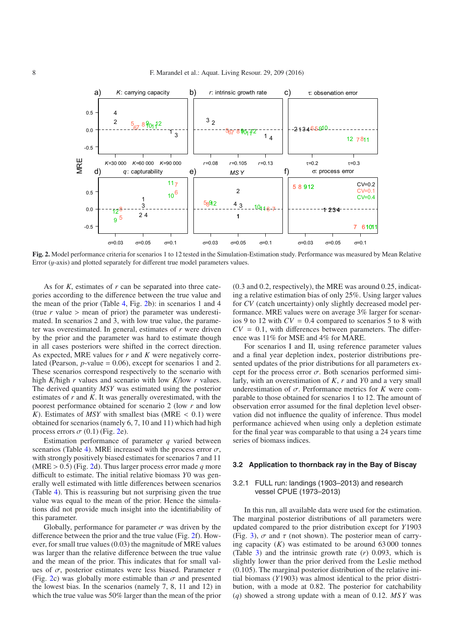<span id="page-7-0"></span>

**Fig. 2.** Model performance criteria for scenarios 1 to 12 tested in the Simulation-Estimation study. Performance was measured by Mean Relative Error  $(y$ -axis) and plotted separately for different true model parameters values.

As for *K*, estimates of *r* can be separated into three categories according to the difference between the true value and the mean of the prior (Table [4,](#page-6-0) Fig. [2b](#page-4-0)): in scenarios 1 and 4 (true  $r$  value  $>$  mean of prior) the parameter was underestimated. In scenarios 2 and 3, with low true value, the parameter was overestimated. In general, estimates of *r* were driven by the prior and the parameter was hard to estimate though in all cases posteriors were shifted in the correct direction. As expected, MRE values for *r* and *K* were negatively correlated (Pearson, *p*-value = 0.06), except for scenarios 1 and 2. These scenarios correspond respectively to the scenario with high *K*/high *r* values and scenario with low *K*/low *r* values. The derived quantity *MSY* was estimated using the posterior estimates of *r* and *K*. It was generally overestimated, with the poorest performance obtained for scenario 2 (low *r* and low *K*). Estimates of *MSY* with smallest bias (MRE  $<$  0.1) were obtained for scenarios (namely 6, 7, 10 and 11) which had high process errors  $\sigma$  (0.1) (Fig. [2e](#page-7-0)).

Estimation performance of parameter *q* varied between scenarios (Table [4\)](#page-6-0). MRE increased with the process error  $\sigma$ , with strongly positively biased estimates for scenarios 7 and 11 (MRE > 0.5) (Fig. [2d](#page-7-0)). Thus larger process error made *q* more difficult to estimate. The initial relative biomass *Y*0 was generally well estimated with little differences between scenarios (Table [4\)](#page-6-0). This is reassuring but not surprising given the true value was equal to the mean of the prior. Hence the simulations did not provide much insight into the identifiability of this parameter.

Globally, performance for parameter  $\sigma$  was driven by the difference between the prior and the true value (Fig. [2f](#page-7-0)). However, for small true values (0.03) the magnitude of MRE values was larger than the relative difference between the true value and the mean of the prior. This indicates that for small values of  $\sigma$ , posterior estimates were less biased. Parameter  $\tau$ (Fig. [2c](#page-7-0)) was globally more estimable than  $\sigma$  and presented the lowest bias. In the scenarios (namely 7, 8, 11 and 12) in which the true value was 50% larger than the mean of the prior (0.3 and 0.2, respectively), the MRE was around 0.25, indicating a relative estimation bias of only 25%. Using larger values for *CV* (catch uncertainty) only slightly decreased model performance. MRE values were on average 3% larger for scenarios 9 to 12 with  $CV = 0.4$  compared to scenarios 5 to 8 with  $CV = 0.1$ , with differences between parameters. The difference was 11% for MSE and 4% for MARE.

For scenarios I and II, using reference parameter values and a final year depletion index, posterior distributions presented updates of the prior distributions for all parameters except for the process error  $\sigma$ . Both scenarios performed similarly, with an overestimation of *K*, *r* and *Y*0 and a very small underestimation of  $\sigma$ . Performance metrics for *K* were comparable to those obtained for scenarios 1 to 12. The amount of observation error assumed for the final depletion level observation did not influence the quality of inference. Thus model performance achieved when using only a depletion estimate for the final year was comparable to that using a 24 years time series of biomass indices.

#### **3.2 Application to thornback ray in the Bay of Biscay**

## 3.2.1 FULL run: landings (1903–2013) and research vessel CPUE (1973–2013)

In this run, all available data were used for the estimation. The marginal posterior distributions of all parameters were updated compared to the prior distribution except for *Y*1903 (Fig. [3\)](#page-8-0),  $\sigma$  and  $\tau$  (not shown). The posterior mean of carrying capacity  $(K)$  was estimated to be around 63000 tonnes (Table [3\)](#page-4-1) and the intrinsic growth rate (*r*) 0.093, which is slightly lower than the prior derived from the Leslie method (0.105). The marginal posterior distribution of the relative initial biomass (*Y*1903) was almost identical to the prior distribution, with a mode at 0.82. The posterior for catchability (*q*) showed a strong update with a mean of 0.12. *MS Y* was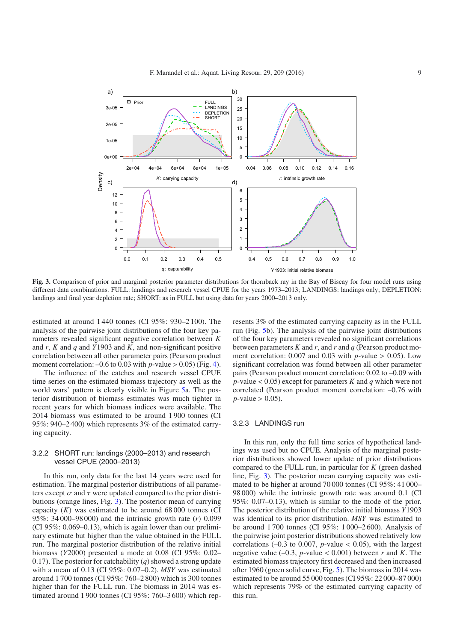

<span id="page-8-0"></span>**Fig. 3.** Comparison of prior and marginal posterior parameter distributions for thornback ray in the Bay of Biscay for four model runs using different data combinations. FULL: landings and research vessel CPUE for the years 1973–2013; LANDINGS: landings only; DEPLETION: landings and final year depletion rate; SHORT: as in FULL but using data for years 2000–2013 only.

estimated at around 1 440 tonnes (CI 95%: 930–2 100). The analysis of the pairwise joint distributions of the four key parameters revealed significant negative correlation between *K* and *r*, *K* and *q* and *Y*1903 and *K*, and non-significant positive correlation between all other parameter pairs (Pearson product moment correlation:  $-0.6$  to 0.03 with *p*-value  $> 0.05$ ) (Fig. [4\)](#page-9-0).

The influence of the catches and research vessel CPUE time series on the estimated biomass trajectory as well as the world wars' pattern is clearly visible in Figure [5a](#page-9-1). The posterior distribution of biomass estimates was much tighter in recent years for which biomass indices were available. The 2014 biomass was estimated to be around 1 900 tonnes (CI 95%: 940–2 400) which represents 3% of the estimated carrying capacity.

## 3.2.2 SHORT run: landings (2000–2013) and research vessel CPUE (2000–2013)

In this run, only data for the last 14 years were used for estimation. The marginal posterior distributions of all parameters except  $\sigma$  and  $\tau$  were updated compared to the prior distributions (orange lines, Fig. [3\)](#page-8-0). The posterior mean of carrying capacity  $(K)$  was estimated to be around  $68\,000$  tonnes (CI 95%: 34 000–98 000) and the intrinsic growth rate (*r*) 0.099 (CI 95%: 0.069–0.13), which is again lower than our preliminary estimate but higher than the value obtained in the FULL run. The marginal posterior distribution of the relative initial biomass (*Y*2000) presented a mode at 0.08 (CI 95%: 0.02– 0.17). The posterior for catchability (*q*) showed a strong update with a mean of 0.13 (CI 95%: 0.07–0.2). *MSY* was estimated around 1 700 tonnes (CI 95%: 760–2 800) which is 300 tonnes higher than for the FULL run. The biomass in 2014 was estimated around 1 900 tonnes (CI 95%: 760–3 600) which represents 3% of the estimated carrying capacity as in the FULL run (Fig. [5b](#page-9-1)). The analysis of the pairwise joint distributions of the four key parameters revealed no significant correlations between parameters *K* and *r*, and *r* and *q* (Pearson product moment correlation:  $0.007$  and  $0.03$  with *p*-value  $> 0.05$ ). Low significant correlation was found between all other parameter pairs (Pearson product moment correlation: 0.02 to –0.09 with *p*-value < 0.05) except for parameters *K* and *q* which were not correlated (Pearson product moment correlation: –0.76 with *p*-value  $> 0.05$ ).

#### 3.2.3 LANDINGS run

In this run, only the full time series of hypothetical landings was used but no CPUE. Analysis of the marginal posterior distributions showed lower update of prior distributions compared to the FULL run, in particular for *K* (green dashed line, Fig. [3\)](#page-8-0). The posterior mean carrying capacity was estimated to be higher at around 70 000 tonnes (CI 95%: 41 000– 98 000) while the intrinsic growth rate was around 0.1 (CI 95%: 0.07–0.13), which is similar to the mode of the prior. The posterior distribution of the relative initial biomass *Y*1903 was identical to its prior distribution. *MSY* was estimated to be around 1 700 tonnes (CI 95%: 1 000–2 600). Analysis of the pairwise joint posterior distributions showed relatively low correlations  $(-0.3 \text{ to } 0.007, p-value < 0.05)$ , with the largest negative value (–0.3, *p*-value < 0.001) between *r* and *K*. The estimated biomass trajectory first decreased and then increased after 1960 (green solid curve, Fig. [5\)](#page-9-1). The biomass in 2014 was estimated to be around 55 000 tonnes (CI 95%: 22 000–87 000) which represents 79% of the estimated carrying capacity of this run.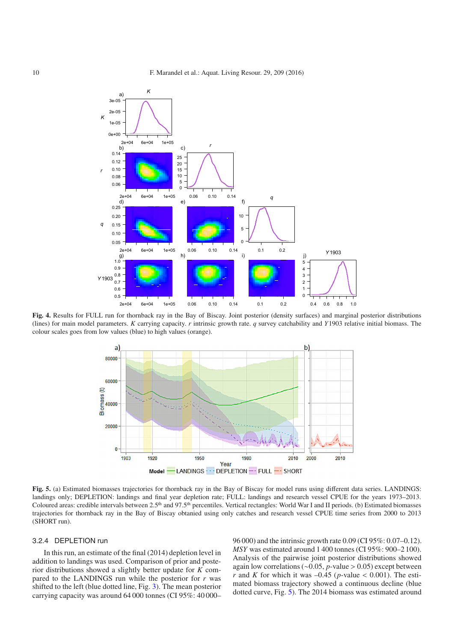

<span id="page-9-1"></span><span id="page-9-0"></span>**Fig. 4.** Results for FULL run for thornback ray in the Bay of Biscay. Joint posterior (density surfaces) and marginal posterior distributions (lines) for main model parameters. *K* carrying capacity. *r* intrinsic growth rate. *q* survey catchability and *Y*1903 relative initial biomass. The colour scales goes from low values (blue) to high values (orange).



**Fig. 5.** (a) Estimated biomasses trajectories for thornback ray in the Bay of Biscay for model runs using different data series. LANDINGS: landings only; DEPLETION: landings and final year depletion rate; FULL: landings and research vessel CPUE for the years 1973–2013. Coloured areas: credible intervals between 2.5<sup>th</sup> and 97.5<sup>th</sup> percentiles. Vertical rectangles: World War I and II periods. (b) Estimated biomasses trajectories for thornback ray in the Bay of Biscay obtanied using only catches and research vessel CPUE time series from 2000 to 2013 (SHORT run).

## 3.2.4 DEPLETION run

In this run, an estimate of the final (2014) depletion level in addition to landings was used. Comparison of prior and posterior distributions showed a slightly better update for *K* compared to the LANDINGS run while the posterior for *r* was shifted to the left (blue dotted line, Fig. [3\)](#page-8-0). The mean posterior carrying capacity was around 64 000 tonnes (CI 95%: 40 000– 96 000) and the intrinsic growth rate 0.09 (CI 95%: 0.07–0.12). *MSY* was estimated around 1 400 tonnes (CI 95%: 900–2 100). Analysis of the pairwise joint posterior distributions showed again low correlations (∼0.05, *p*-value > 0.05) except between *r* and *K* for which it was  $-0.45$  (*p*-value < 0.001). The estimated biomass trajectory showed a continuous decline (blue dotted curve, Fig. [5\)](#page-9-1). The 2014 biomass was estimated around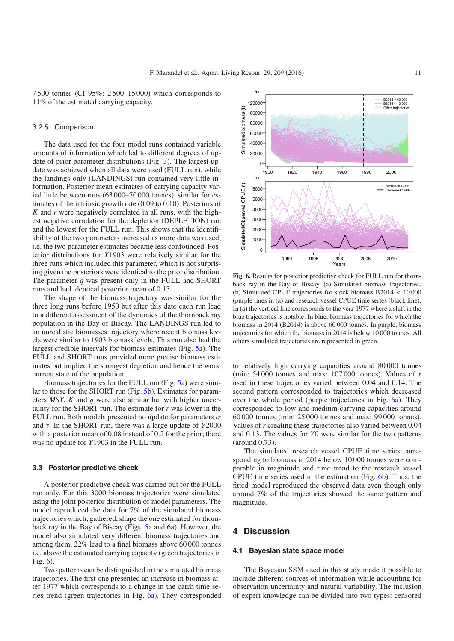7 500 tonnes (CI 95%: 2 500–15 000) which corresponds to 11% of the estimated carrying capacity.

#### 3.2.5 Comparison

The data used for the four model runs contained variable amounts of information which led to different degrees of update of prior parameter distributions (Fig. [3\)](#page-8-0). The largest update was achieved when all data were used (FULL run), while the landings only (LANDINGS) run contained very little information. Posterior mean estimates of carrying capacity varied little between runs (63 000–70 000 tonnes), similar for estimates of the intrinsic growth rate (0.09 to 0.10). Posteriors of *K* and *r* were negatively correlated in all runs, with the highest negative correlation for the depletion (DEPLETION) run and the lowest for the FULL run. This shows that the identifiability of the two parameters increased as more data was used, i.e. the two parameter estimates became less confounded. Posterior distributions for *Y*1903 were relatively similar for the three runs which included this parameter, which is not surprising given the posteriors were identical to the prior distribution. The parameter *q* was present only in the FULL and SHORT runs and had identical posterior mean of 0.13.

The shape of the biomass trajectory was similar for the three long runs before 1950 but after this date each run lead to a different assessment of the dynamics of the thornback ray population in the Bay of Biscay. The LANDINGS run led to an unrealistic biomasses trajectory where recent biomass levels were similar to 1903 biomass levels. This run also had the largest credible intervals for biomass estimates (Fig. [5a](#page-9-1)). The FULL and SHORT runs provided more precise biomass estimates but implied the strongest depletion and hence the worst current state of the population.

Biomass trajectories for the FULL run (Fig. [5a](#page-9-1)) were similar to those for the SHORT run (Fig. [5b](#page-9-1)). Estimates for parameters *MSY*, *K* and *q* were also similar but with higher uncertainty for the SHORT run. The estimate for *r* was lower in the FULL run. Both models presented no update for parameters  $\sigma$ and τ. In the SHORT run, there was a large update of *Y*2000 with a posterior mean of 0.08 instead of 0.2 for the prior; there was no update for *Y*1903 in the FULL run.

#### **3.3 Posterior predictive check**

A posterior predictive check was carried out for the FULL run only. For this 3000 biomass trajectories were simulated using the joint posterior distribution of model parameters. The model reproduced the data for 7% of the simulated biomass trajectories which, gathered, shape the one estimated for thornback ray in the Bay of Biscay (Figs. [5a](#page-9-1) and [6a](#page-10-0)). However, the model also simulated very different biomass trajectories and among them, 22% lead to a final biomass above 60 000 tonnes i.e. above the estimated carrying capacity (green trajectories in Fig. [6\)](#page-10-0).

Two patterns can be distinguished in the simulated biomass trajectories. The first one presented an increase in biomass after 1977 which corresponds to a change in the catch time series trend (green trajectories in Fig. [6a](#page-10-0)). They corresponded

<span id="page-10-0"></span>

**Fig. 6.** Results for posterior predictive check for FULL run for thornback ray in the Bay of Biscay. (a) Simulated biomass trajectories. (b) Simulated CPUE trajectories for stock biomass B2014 < 10 000 (purple lines in (a) and research vessel CPUE time series (black line). In (a) the vertical line corresponds to the year 1977 where a shift in the blue trajectories is notable. In blue, biomass trajectories for which the biomass in 2014 (B2014) is above 60 000 tonnes. In purple, biomass trajectories for which the biomass in 2014 is below 10 000 tonnes. All others simulated trajectories are represented in green.

to relatively high carrying capacities around 80 000 tonnes (min: 54 000 tonnes and max: 107 000 tonnes). Values of *r* used in these trajectories varied between 0.04 and 0.14. The second pattern corresponded to trajectories which decreased over the whole period (purple trajectories in Fig. [6a](#page-10-0)). They corresponded to low and medium carrying capacities around 60 000 tonnes (min: 25 000 tonnes and max: 99 000 tonnes). Values of *r* creating these trajectories also varied between 0.04 and 0.13. The values for *Y*0 were similar for the two patterns (around 0.73).

The simulated research vessel CPUE time series corresponding to biomass in 2014 below 10 000 tonnes were comparable in magnitude and time trend to the research vessel CPUE time series used in the estimation (Fig. [6b](#page-10-0)). Thus, the fitted model reproduced the observed data even though only around 7% of the trajectories showed the same pattern and magnitude.

## **4 Discussion**

#### **4.1 Bayesian state space model**

The Bayesian SSM used in this study made it possible to include different sources of information while accounting for observation uncertainty and natural variability. The inclusion of expert knowledge can be divided into two types: censored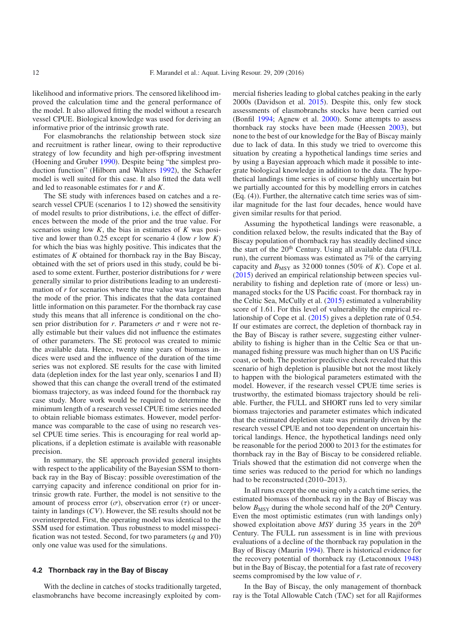likelihood and informative priors. The censored likelihood improved the calculation time and the general performance of the model. It also allowed fitting the model without a research vessel CPUE. Biological knowledge was used for deriving an informative prior of the intrinsic growth rate.

For elasmobranchs the relationship between stock size and recruitment is rather linear, owing to their reproductive strategy of low fecundity and high per-offspring investment (Hoening and Gruber [1990](#page-13-26)). Despite being "the simplest production function" (Hilborn and Walters [1992\)](#page-13-12), the Schaefer model is well suited for this case. It also fitted the data well and led to reasonable estimates for *r* and *K*.

The SE study with inferences based on catches and a research vessel CPUE (scenarios 1 to 12) showed the sensitivity of model results to prior distributions, i.e. the effect of differences between the mode of the prior and the true value. For scenarios using low *K*, the bias in estimates of *K* was positive and lower than 0.25 except for scenario 4 (low *r* low *K*) for which the bias was highly positive. This indicates that the estimates of *K* obtained for thornback ray in the Bay Biscay, obtained with the set of priors used in this study, could be biased to some extent. Further, posterior distributions for *r* were generally similar to prior distributions leading to an underestimation of *r* for scenarios where the true value was larger than the mode of the prior. This indicates that the data contained little information on this parameter. For the thornback ray case study this means that all inference is conditional on the chosen prior distribution for *r*. Parameters  $\sigma$  and  $\tau$  were not really estimable but their values did not influence the estimates of other parameters. The SE protocol was created to mimic the available data. Hence, twenty nine years of biomass indices were used and the influence of the duration of the time series was not explored. SE results for the case with limited data (depletion index for the last year only, scenarios I and II) showed that this can change the overall trend of the estimated biomass trajectory, as was indeed found for the thornback ray case study. More work would be required to determine the minimum length of a research vessel CPUE time series needed to obtain reliable biomass estimates. However, model performance was comparable to the case of using no research vessel CPUE time series. This is encouraging for real world applications, if a depletion estimate is available with reasonable precision.

In summary, the SE approach provided general insights with respect to the applicability of the Bayesian SSM to thornback ray in the Bay of Biscay: possible overestimation of the carrying capacity and inference conditional on prior for intrinsic growth rate. Further, the model is not sensitive to the amount of process error  $(\sigma)$ , observation error  $(\tau)$  or uncertainty in landings (*CV*). However, the SE results should not be overinterpreted. First, the operating model was identical to the SSM used for estimation. Thus robustness to model misspecification was not tested. Second, for two parameters (*q* and *Y*0) only one value was used for the simulations.

#### **4.2 Thornback ray in the Bay of Biscay**

With the decline in catches of stocks traditionally targeted, elasmobranchs have become increasingly exploited by commercial fisheries leading to global catches peaking in the early 2000s (Davidson et al. [2015\)](#page-12-0). Despite this, only few stock assessments of elasmobranchs stocks have been carried out (Bonfil [1994;](#page-12-7) Agnew et al. [2000](#page-12-4)). Some attempts to assess thornback ray stocks have been made (Heessen [2003\)](#page-13-19), but none to the best of our knowledge for the Bay of Biscay mainly due to lack of data. In this study we tried to overcome this situation by creating a hypothetical landings time series and by using a Bayesian approach which made it possible to integrate biological knowledge in addition to the data. The hypothetical landings time series is of course highly uncertain but we partially accounted for this by modelling errors in catches (Eq. (4)). Further, the alternative catch time series was of similar magnitude for the last four decades, hence would have given similar results for that period.

Assuming the hypothetical landings were reasonable, a condition relaxed below, the results indicated that the Bay of Biscay population of thornback ray has steadily declined since the start of the  $20<sup>th</sup>$  Century. Using all available data (FULL run), the current biomass was estimated as 7% of the carrying capacity and  $B_{\text{MSY}}$  as 32 000 tonnes (50% of *K*). Cope et al. [\(2015\)](#page-12-8) derived an empirical relationship between species vulnerability to fishing and depletion rate of (more or less) unmanaged stocks for the US Pacific coast. For thornback ray in the Celtic Sea, McCully et al. [\(2015\)](#page-13-27) estimated a vulnerability score of 1.61. For this level of vulnerability the empirical relationship of Cope et al. [\(2015\)](#page-12-8) gives a depletion rate of 0.54. If our estimates are correct, the depletion of thornback ray in the Bay of Biscay is rather severe, suggesting either vulnerability to fishing is higher than in the Celtic Sea or that unmanaged fishing pressure was much higher than on US Pacific coast, or both. The posterior predictive check revealed that this scenario of high depletion is plausible but not the most likely to happen with the biological parameters estimated with the model. However, if the research vessel CPUE time series is trustworthy, the estimated biomass trajectory should be reliable. Further, the FULL and SHORT runs led to very similar biomass trajectories and parameter estimates which indicated that the estimated depletion state was primarily driven by the research vessel CPUE and not too dependent on uncertain historical landings. Hence, the hypothetical landings need only be reasonable for the period 2000 to 2013 for the estimates for thornback ray in the Bay of Biscay to be considered reliable. Trials showed that the estimation did not converge when the time series was reduced to the period for which no landings had to be reconstructed  $(2010-2013)$ .

In all runs except the one using only a catch time series, the estimated biomass of thornback ray in the Bay of Biscay was below  $B_{\text{MSY}}$  during the whole second half of the 20<sup>th</sup> Century. Even the most optimistic estimates (run with landings only) showed exploitation above *MSY* during 35 years in the 20<sup>th</sup> Century. The FULL run assessment is in line with previous evaluations of a decline of the thornback ray population in the Bay of Biscay (Maurin [1994\)](#page-13-28). There is historical evidence for the recovery potential of thornback ray (Letaconnoux [1948\)](#page-13-20) but in the Bay of Biscay, the potential for a fast rate of recovery seems compromised by the low value of *r*.

In the Bay of Biscay, the only management of thornback ray is the Total Allowable Catch (TAC) set for all Rajiformes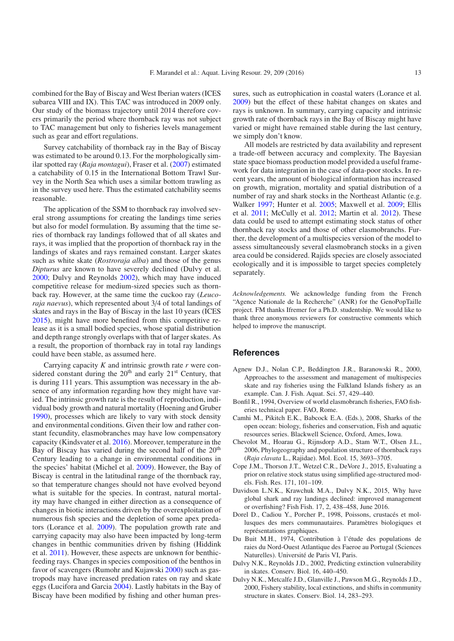combined for the Bay of Biscay and West Iberian waters (ICES subarea VIII and IX). This TAC was introduced in 2009 only. Our study of the biomass trajectory until 2014 therefore covers primarily the period where thornback ray was not subject to TAC management but only to fisheries levels management such as gear and effort regulations.

Survey catchability of thornback ray in the Bay of Biscay was estimated to be around 0.13. For the morphologically similar spotted ray (*Raja montagui*), Fraser et al. [\(2007\)](#page-13-24) estimated a catchability of 0.15 in the International Bottom Trawl Survey in the North Sea which uses a similar bottom trawling as in the survey used here. Thus the estimated catchability seems reasonable.

The application of the SSM to thornback ray involved several strong assumptions for creating the landings time series but also for model formulation. By assuming that the time series of thornback ray landings followed that of all skates and rays, it was implied that the proportion of thornback ray in the landings of skates and rays remained constant. Larger skates such as white skate (*Rostroraja alba*) and those of the genus *Dipturus* are known to have severely declined (Dulvy et al. [2000;](#page-12-3) Dulvy and Reynolds [2002](#page-12-9)), which may have induced competitive release for medium-sized species such as thornback ray. However, at the same time the cuckoo ray (*Leucoraja naevus*), which represented about 3/4 of total landings of skates and rays in the Bay of Biscay in the last 10 years (ICES [2015\)](#page-13-4), might have more benefited from this competitive release as it is a small bodied species, whose spatial distribution and depth range strongly overlaps with that of larger skates. As a result, the proportion of thornback ray in total ray landings could have been stable, as assumed here.

Carrying capacity *K* and intrinsic growth rate *r* were considered constant during the  $20<sup>th</sup>$  and early  $21<sup>st</sup>$  Century, that is during 111 years. This assumption was necessary in the absence of any information regarding how they might have varied. The intrinsic growth rate is the result of reproduction, individual body growth and natural mortality (Hoening and Gruber [1990\)](#page-13-26), processes which are likely to vary with stock density and environmental conditions. Given their low and rather constant fecundity, elasmobranches may have low compensatory capacity (Kindsvater et al. [2016\)](#page-13-29). Moreover, temperature in the Bay of Biscay has varied during the second half of the  $20<sup>th</sup>$ Century leading to a change in environmental conditions in the species' habitat (Michel et al. [2009\)](#page-13-30). However, the Bay of Biscay is central in the latitudinal range of the thornback ray, so that temperature changes should not have evolved beyond what is suitable for the species. In contrast, natural mortality may have changed in either direction as a consequence of changes in biotic interactions driven by the overexploitation of numerous fish species and the depletion of some apex predators (Lorance et al. [2009](#page-13-31)). The population growth rate and carrying capacity may also have been impacted by long-term changes in benthic communities driven by fishing (Hiddink et al. [2011\)](#page-13-32). However, these aspects are unknown for benthicfeeding rays. Changes in species composition of the benthos in favor of scavengers (Rumohr and Kujawski [2000\)](#page-14-19) such as gastropods may have increased predation rates on ray and skate eggs (Lucifora and Garcia [2004\)](#page-13-33). Lastly habitats in the Bay of Biscay have been modified by fishing and other human pressures, such as eutrophication in coastal waters (Lorance et al. [2009\)](#page-13-31) but the effect of these habitat changes on skates and rays is unknown. In summary, carrying capacity and intrinsic growth rate of thornback rays in the Bay of Biscay might have varied or might have remained stable during the last century, we simply don't know.

All models are restricted by data availability and represent a trade-off between accuracy and complexity. The Bayesian state space biomass production model provided a useful framework for data integration in the case of data-poor stocks. In recent years, the amount of biological information has increased on growth, migration, mortality and spatial distribution of a number of ray and shark stocks in the Northeast Atlantic (e.g. Walker [1997;](#page-14-20) Hunter et al. [2005;](#page-13-34) Maxwell et al. [2009](#page-13-35); Ellis et al. [2011;](#page-13-36) McCully et al. [2012;](#page-13-7) Martin et al. [2012\)](#page-13-37). These data could be used to attempt estimating stock status of other thornback ray stocks and those of other elasmobranchs. Further, the development of a multispecies version of the model to assess simultaneously several elasmobranch stocks in a given area could be considered. Rajids species are closely associated ecologically and it is impossible to target species completely separately.

*Acknowledgements.* We acknowledge funding from the French "Agence Nationale de la Recherche" (ANR) for the GenoPopTaille project. FM thanks Ifremer for a Ph.D. studentship. We would like to thank three anonymous reviewers for constructive comments which helped to improve the manuscript.

## **References**

- <span id="page-12-4"></span>Agnew D.J., Nolan C.P., Beddington J.R., Baranowski R., 2000, Approaches to the assessment and management of multispecies skate and ray fisheries using the Falkland Islands fishery as an example. Can. J. Fish. Aquat. Sci. 57, 429–440.
- <span id="page-12-7"></span>Bonfil R., 1994, Overview of world elasmobranch fisheries, FAO fisheries technical paper. FAO, Rome.
- <span id="page-12-6"></span>Camhi M., Pikitch E.K., Babcock E.A. (Eds.), 2008, Sharks of the open ocean: biology, fisheries and conservation, Fish and aquatic resources series. Blackwell Science, Oxford, Ames, Iowa.
- <span id="page-12-2"></span>Chevolot M., Hoarau G., Rijnsdorp A.D., Stam W.T., Olsen J.L., 2006, Phylogeography and population structure of thornback rays (*Raja clavata* L., Rajidae). Mol. Ecol. 15, 3693–3705.
- <span id="page-12-8"></span>Cope J.M., Thorson J.T., Wetzel C.R., DeVore J., 2015, Evaluating a prior on relative stock status using simplified age-structured models. Fish. Res. 171, 101–109.
- <span id="page-12-0"></span>Davidson L.N.K., Krawchuk M.A., Dulvy N.K., 2015, Why have global shark and ray landings declined: improved management or overfishing? Fish Fish. 17, 2, 438–458, June 2016.
- <span id="page-12-5"></span>Dorel D., Cadiou Y., Porcher P., 1998, Poissons, crustacés et mollusques des mers communautaires. Paramètres biologiques et représentations graphiques.
- <span id="page-12-1"></span>Du Buit M.H., 1974, Contribution à l'étude des populations de raies du Nord-Ouest Atlantique des Faeroe au Portugal (Sciences Naturelles). Université de Paris VI, Paris.
- <span id="page-12-9"></span>Dulvy N.K., Reynolds J.D., 2002, Predicting extinction vulnerability in skates. Conserv. Biol. 16, 440–450.
- <span id="page-12-3"></span>Dulvy N.K., Metcalfe J.D., Glanville J., Pawson M.G., Reynolds J.D., 2000, Fishery stability, local extinctions, and shifts in community structure in skates. Conserv. Biol. 14, 283–293.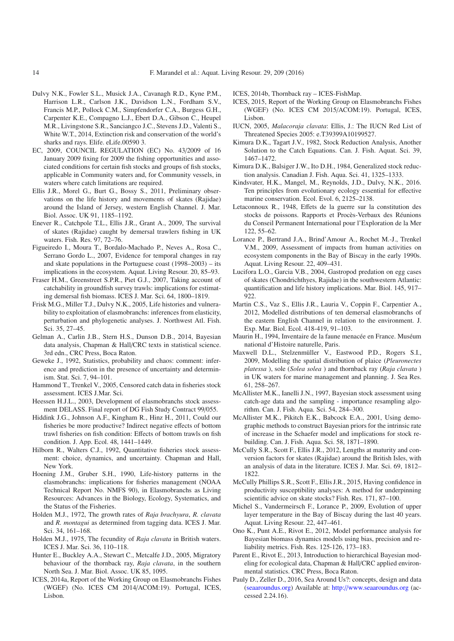- <span id="page-13-0"></span>Dulvy N.K., Fowler S.L., Musick J.A., Cavanagh R.D., Kyne P.M., Harrison L.R., Carlson J.K., Davidson L.N., Fordham S.V., Francis M.P., Pollock C.M., Simpfendorfer C.A., Burgess G.H., Carpenter K.E., Compagno L.J., Ebert D.A., Gibson C., Heupel M.R., Livingstone S.R., Sanciangco J.C., Stevens J.D., Valenti S., White W.T., 2014, Extinction risk and conservation of the world's sharks and rays. Elife. eLife.00590 3.
- <span id="page-13-2"></span>EC, 2009, COUNCIL REGULATION (EC) No. 43/2009 of 16 January 2009 fixing for 2009 the fishing opportunities and associated conditions for certain fish stocks and groups of fish stocks, applicable in Community waters and, for Community vessels, in waters where catch limitations are required.
- <span id="page-13-36"></span>Ellis J.R., Morel G., Burt G., Bossy S., 2011, Preliminary observations on the life history and movements of skates (Rajidae) around the Island of Jersey, western English Channel. J. Mar. Biol. Assoc. UK 91, 1185–1192.
- <span id="page-13-3"></span>Enever R., Catchpole T.L., Ellis J.R., Grant A., 2009, The survival of skates (Rajidae) caught by demersal trawlers fishing in UK waters. Fish. Res. 97, 72–76.
- <span id="page-13-9"></span>Figueiredo I., Moura T., Bordalo-Machado P., Neves A., Rosa C., Serrano Gordo L., 2007, Evidence for temporal changes in ray and skate populations in the Portuguese coast (1998–2003) – its implications in the ecosystem. Aquat. Living Resour. 20, 85–93.
- <span id="page-13-24"></span>Fraser H.M., Greenstreet S.P.R., Piet G.J., 2007, Taking account of catchability in groundfish survey trawls: implications for estimating demersal fish biomass. ICES J. Mar. Sci. 64, 1800–1819.
- <span id="page-13-23"></span>Frisk M.G., Miller T.J., Dulvy N.K., 2005, Life histories and vulnerability to exploitation of elasmobranchs: inferences from elasticity, perturbation and phylogenetic analyses. J. Northwest Atl. Fish. Sci. 35, 27–45.
- <span id="page-13-15"></span>Gelman A., Carlin J.B., Stern H.S., Dunson D.B., 2014, Bayesian data analysis, Chapman & Hall/CRC texts in statistical science. 3rd edn., CRC Press, Boca Raton.
- <span id="page-13-25"></span>Geweke J., 1992, Statistics, probability and chaos: comment: inference and prediction in the presence of uncertainty and determinism. Stat. Sci. 7, 94–101.
- <span id="page-13-13"></span>Hammond T., Trenkel V., 2005, Censored catch data in fisheries stock assessment. ICES J.Mar. Sci.
- <span id="page-13-19"></span>Heessen H.J.L., 2003, Development of elasmobranchs stock assessment DELASS. Final report of DG Fish Study Contract 99/055.
- <span id="page-13-32"></span>Hiddink J.G., Johnson A.F., Kingham R., Hinz H., 2011, Could our fisheries be more productive? Indirect negative effects of bottom trawl fisheries on fish condition: Effects of bottom trawls on fish condition. J. App. Ecol. 48, 1441–1449.
- <span id="page-13-12"></span>Hilborn R., Walters C.J., 1992, Quantitative fisheries stock assessment: choice, dynamics, and uncertainty. Chapman and Hall, New York.
- <span id="page-13-26"></span>Hoening J.M., Gruber S.H., 1990, Life-history patterns in the elasmobranchs: implications for fisheries management (NOAA Technical Report No. NMFS 90), in Elasmobranchs as Living Resources: Advances in the Biology, Ecology, Systematics, and the Status of the Fisheries.
- <span id="page-13-6"></span>Holden M.J., 1972, The growth rates of *Raja brachyura*, *R. clavata* and *R. montagui* as determined from tagging data. ICES J. Mar. Sci. 34, 161–168.
- <span id="page-13-8"></span>Holden M.J., 1975, The fecundity of *Raja clavata* in British waters. ICES J. Mar. Sci. 36, 110–118.
- <span id="page-13-34"></span>Hunter E., Buckley A.A., Stewart C., Metcalfe J.D., 2005, Migratory behaviour of the thornback ray, *Raja clavata*, in the southern North Sea. J. Mar. Biol. Assoc. UK 85, 1095.
- <span id="page-13-1"></span>ICES, 2014a, Report of the Working Group on Elasmobranchs Fishes (WGEF) (No. ICES CM 2014/ACOM:19). Portugal, ICES, Lisbon.
- <span id="page-13-22"></span>ICES, 2014b, Thornback ray – ICES-FishMap.
- <span id="page-13-4"></span>ICES, 2015, Report of the Working Group on Elasmobranchs Fishes (WGEF) (No. ICES CM 2015/ACOM:19). Portugal, ICES, Lisbon.
- <span id="page-13-5"></span>IUCN, 2005, *Malacoraja clavata*: Ellis, J.: The IUCN Red List of Threatened Species 2005: e.T39399A10199527.
- <span id="page-13-16"></span>Kimura D.K., Tagart J.V., 1982, Stock Reduction Analysis, Another Solution to the Catch Equations. Can. J. Fish. Aquat. Sci. 39, 1467–1472.
- <span id="page-13-17"></span>Kimura D.K., Balsiger J.W., Ito D.H., 1984, Generalized stock reduction analysis. Canadian J. Fish. Aqua. Sci. 41, 1325–1333.
- <span id="page-13-29"></span>Kindsvater, H.K., Mangel, M., Reynolds, J.D., Dulvy, N.K., 2016. Ten principles from evolutionary ecology essential for effective marine conservation. Ecol. Evol. 6, 2125–2138.
- <span id="page-13-20"></span>Letaconnoux R., 1948, Effets de la guerre sur la constitution des stocks de poissons. Rapports et Procès-Verbaux des Réunions du Conseil Permanent International pour l'Exploration de la Mer 122, 55–62.
- <span id="page-13-31"></span>Lorance P., Bertrand J.A., Brind'Amour A., Rochet M.-J., Trenkel V.M., 2009, Assessment of impacts from human activities on ecosystem components in the Bay of Biscay in the early 1990s. Aquat. Living Resour. 22, 409–431.
- <span id="page-13-33"></span>Lucifora L.O., Garcia V.B., 2004, Gastropod predation on egg cases of skates (Chondrichthyes, Rajidae) in the southwestern Atlantic: quantification and life history implications. Mar. Biol. 145, 917– 922.
- <span id="page-13-37"></span>Martin C.S., Vaz S., Ellis J.R., Lauria V., Coppin F., Carpentier A., 2012, Modelled distributions of ten demersal elasmobranchs of the eastern English Channel in relation to the environment. J. Exp. Mar. Biol. Ecol. 418-419, 91–103.
- <span id="page-13-28"></span>Maurin H., 1994, Inventaire de la faune menacée en France. Muséum national d'Histoire naturelle, Paris.
- <span id="page-13-35"></span>Maxwell D.L., Stelzenmüller V., Eastwood P.D., Rogers S.I., 2009, Modelling the spatial distribution of plaice (*Pleuronectes platessa* ), sole (*Solea solea* ) and thornback ray (*Raja clavata* ) in UK waters for marine management and planning. J. Sea Res. 61, 258–267.
- <span id="page-13-18"></span>McAllister M.K., Ianelli J.N., 1997, Bayesian stock assessment using catch-age data and the sampling - importance resampling algorithm. Can. J. Fish. Aqua. Sci. 54, 284–300.
- <span id="page-13-10"></span>McAllister M.K., Pikitch E.K., Babcock E.A., 2001, Using demographic methods to construct Bayesian priors for the intrinsic rate of increase in the Schaefer model and implications for stock rebuilding. Can. J. Fish. Aqua. Sci. 58, 1871–1890.
- <span id="page-13-7"></span>McCully S.R., Scott F., Ellis J.R., 2012, Lengths at maturity and conversion factors for skates (Rajidae) around the British Isles, with an analysis of data in the literature. ICES J. Mar. Sci. 69, 1812– 1822.
- <span id="page-13-27"></span>McCully Phillips S.R., Scott F., Ellis J.R., 2015, Having confidence in productivity susceptibility analyses: A method for underpinning scientific advice on skate stocks? Fish. Res. 171, 87–100.
- <span id="page-13-30"></span>Michel S., Vandermeirsch F., Lorance P., 2009, Evolution of upper layer temperature in the Bay of Biscay during the last 40 years. Aquat. Living Resour. 22, 447–461.
- <span id="page-13-11"></span>Ono K., Punt A.E., Rivot E., 2012, Model performance analysis for Bayesian biomass dynamics models using bias, precision and reliability metrics. Fish. Res. 125-126, 173–183.
- <span id="page-13-14"></span>Parent E., Rivot E., 2013, Introduction to hierarchical Bayesian modeling for ecological data, Chapman & Hall/CRC applied environmental statistics. CRC Press, Boca Raton.
- <span id="page-13-21"></span>Pauly D., Zeller D., 2016, Sea Around Us?: concepts, design and data [\(seaaroundus.org\)](seaaroundus.org) Available at: http://[www.seaaroundus.org](http://www.seaaroundus.org) (accessed 2.24.16).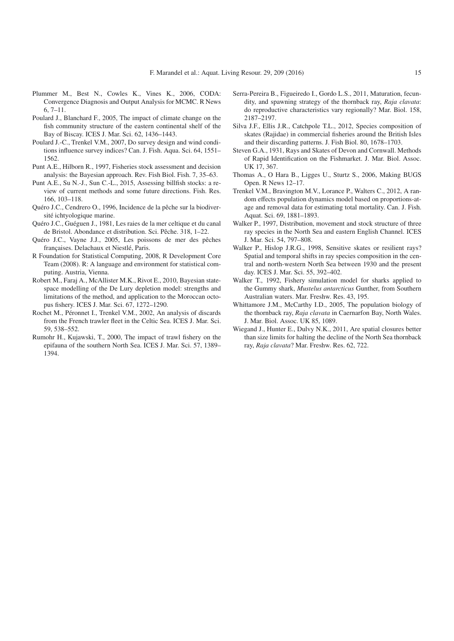- <span id="page-14-18"></span>Plummer M., Best N., Cowles K., Vines K., 2006, CODA: Convergence Diagnosis and Output Analysis for MCMC. R News 6, 7–11.
- <span id="page-14-14"></span>Poulard J., Blanchard F., 2005, The impact of climate change on the fish community structure of the eastern continental shelf of the Bay of Biscay. ICES J. Mar. Sci. 62, 1436–1443.
- <span id="page-14-15"></span>Poulard J.-C., Trenkel V.M., 2007, Do survey design and wind conditions influence survey indices? Can. J. Fish. Aqua. Sci. 64, 1551– 1562.
- <span id="page-14-10"></span>Punt A.E., Hilborn R., 1997, Fisheries stock assessment and decision analysis: the Bayesian approach. Rev. Fish Biol. Fish. 7, 35–63.
- <span id="page-14-8"></span>Punt A.E., Su N.-J., Sun C.-L., 2015, Assessing billfish stocks: a review of current methods and some future directions. Fish. Res. 166, 103–118.
- <span id="page-14-0"></span>Quéro J.C., Cendrero O., 1996, Incidence de la pêche sur la biodiversité ichtyologique marine.
- <span id="page-14-3"></span>Quéro J.C., Guéguen J., 1981, Les raies de la mer celtique et du canal de Bristol. Abondance et distribution. Sci. Pêche. 318, 1–22.
- <span id="page-14-5"></span>Quéro J.C., Vayne J.J., 2005, Les poissons de mer des pêches françaises. Delachaux et Niestlé, Paris.
- R Foundation for Statistical Computing, 2008, R Development Core Team (2008). R: A language and environment for statistical computing. Austria, Vienna.
- <span id="page-14-11"></span>Robert M., Faraj A., McAllister M.K., Rivot E., 2010, Bayesian statespace modelling of the De Lury depletion model: strengths and limitations of the method, and application to the Moroccan octopus fishery. ICES J. Mar. Sci. 67, 1272–1290.
- <span id="page-14-4"></span>Rochet M., Péronnet I., Trenkel V.M., 2002, An analysis of discards from the French trawler fleet in the Celtic Sea. ICES J. Mar. Sci. 59, 538–552.
- <span id="page-14-19"></span>Rumohr H., Kujawski, T., 2000, The impact of trawl fishery on the epifauna of the southern North Sea. ICES J. Mar. Sci. 57, 1389– 1394.
- <span id="page-14-6"></span>Serra-Pereira B., Figueiredo I., Gordo L.S., 2011, Maturation, fecundity, and spawning strategy of the thornback ray, *Raja clavata*: do reproductive characteristics vary regionally? Mar. Biol. 158, 2187–2197.
- <span id="page-14-1"></span>Silva J.F., Ellis J.R., Catchpole T.L., 2012, Species composition of skates (Rajidae) in commercial fisheries around the British Isles and their discarding patterns. J. Fish Biol. 80, 1678–1703.
- <span id="page-14-2"></span>Steven G.A., 1931, Rays and Skates of Devon and Cornwall. Methods of Rapid Identification on the Fishmarket. J. Mar. Biol. Assoc. UK 17, 367.
- <span id="page-14-12"></span>Thomas A., O Hara B., Ligges U., Sturtz S., 2006, Making BUGS Open. R News 12–17.
- <span id="page-14-9"></span>Trenkel V.M., Bravington M.V., Lorance P., Walters C., 2012, A random effects population dynamics model based on proportions-atage and removal data for estimating total mortality. Can. J. Fish. Aquat. Sci. 69, 1881–1893.
- <span id="page-14-20"></span>Walker P., 1997, Distribution, movement and stock structure of three ray species in the North Sea and eastern English Channel. ICES J. Mar. Sci. 54, 797–808.
- <span id="page-14-13"></span>Walker P., Hislop J.R.G., 1998, Sensitive skates or resilient rays? Spatial and temporal shifts in ray species composition in the central and north-western North Sea between 1930 and the present day. ICES J. Mar. Sci. 55, 392–402.
- <span id="page-14-16"></span>Walker T., 1992, Fishery simulation model for sharks applied to the Gummy shark, *Mustelus antarcticus* Gunther, from Southern Australian waters. Mar. Freshw. Res. 43, 195.
- <span id="page-14-7"></span>Whittamore J.M., McCarthy I.D., 2005, The population biology of the thornback ray, *Raja clavata* in Caernarfon Bay, North Wales. J. Mar. Biol. Assoc. UK 85, 1089.
- <span id="page-14-17"></span>Wiegand J., Hunter E., Dulvy N.K., 2011, Are spatial closures better than size limits for halting the decline of the North Sea thornback ray, *Raja clavata*? Mar. Freshw. Res. 62, 722.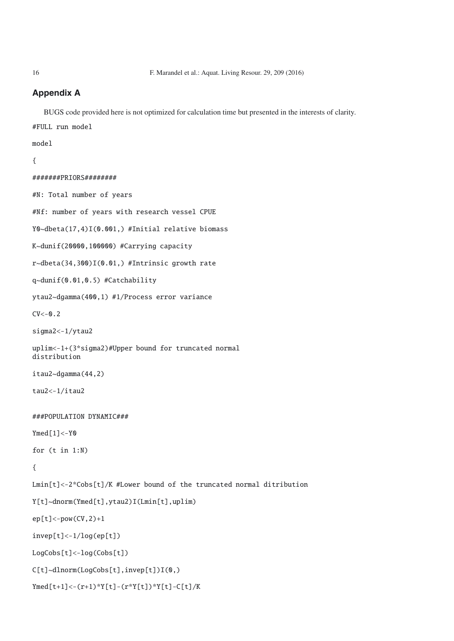# **Appendix A**

BUGS code provided here is not optimized for calculation time but presented in the interests of clarity.

```
#FULL run model
```
## model

```
{
```

```
#######PRIORS########
#N: Total number of years
#Nf: number of years with research vessel CPUE
Y0~dbeta(17,4)I(0.001,) #Initial relative biomass
K~dunif(20000,100000) #Carrying capacity
r~dbeta(34,300)I(0.01,) #Intrinsic growth rate
q~dunif(0.01,0.5) #Catchability
ytau2~dgamma(400,1) #1/Process error variance
CV < -0.2sigma2<-1/ytau2
uplim<-1+(3*sigma2)#Upper bound for truncated normal
distribution
itau2~dgamma(44,2)
tau2<-1/itau2
###POPULATION DYNAMIC###
Ymed[1] <-Y0
for (t in 1:N)
{
Lmin[t]<-2*Cobs[t]/K #Lower bound of the truncated normal ditribution
Y[t]~dnorm(Ymed[t],ytau2)I(Lmin[t],uplim)
ep[t]<-pow(CV,2)+1invep[t]<-1/log(ep[t])
LogCobs[t]<-log(Cobs[t])
C[t]~dlnorm(LogCobs[t],invep[t])I(0,)
Ymed[t+1]<-(r+1)*Y[t]-(r*Y[t])*Y[t]-C[t]/K
```